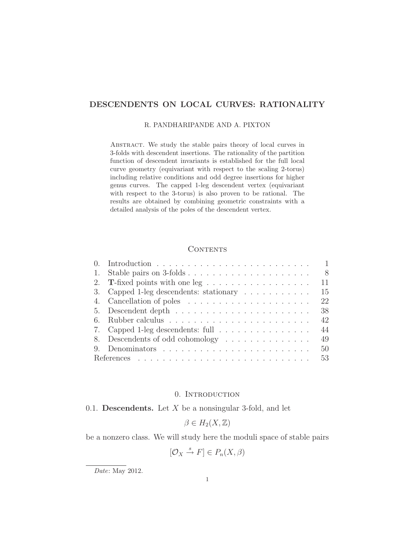# DESCENDENTS ON LOCAL CURVES: RATIONALITY

### R. PANDHARIPANDE AND A. PIXTON

Abstract. We study the stable pairs theory of local curves in 3-folds with descendent insertions. The rationality of the partition function of descendent invariants is established for the full local curve geometry (equivariant with respect to the scaling 2-torus) including relative conditions and odd degree insertions for higher genus curves. The capped 1-leg descendent vertex (equivariant with respect to the 3-torus) is also proven to be rational. The results are obtained by combining geometric constraints with a detailed analysis of the poles of the descendent vertex.

### **CONTENTS**

|    |                                                                        | $\mathbf{1}$ |
|----|------------------------------------------------------------------------|--------------|
| 1. | Stable pairs on 3-folds                                                | - 8          |
|    | 2. T-fixed points with one leg $\dots \dots \dots \dots \dots \dots$   | 11           |
|    | 3. Capped 1-leg descendents: stationary                                | 15           |
|    |                                                                        | 22           |
|    | 5. Descendent depth $\dots \dots \dots \dots \dots \dots \dots \dots$  | 38           |
| 6. |                                                                        | 42           |
|    | 7. Capped 1-leg descendents: full $\ldots \ldots \ldots \ldots \ldots$ | 44           |
|    | 8. Descendents of odd cohomology                                       | 49           |
|    |                                                                        | 50           |
|    |                                                                        | 53           |

### 0. Introduction

# 0.1. Descendents. Let  $X$  be a nonsingular 3-fold, and let

$$
\beta \in H_2(X, \mathbb{Z})
$$

be a nonzero class. We will study here the moduli space of stable pairs

$$
[\mathcal{O}_X \xrightarrow{s} F] \in P_n(X, \beta)
$$

Date: May 2012.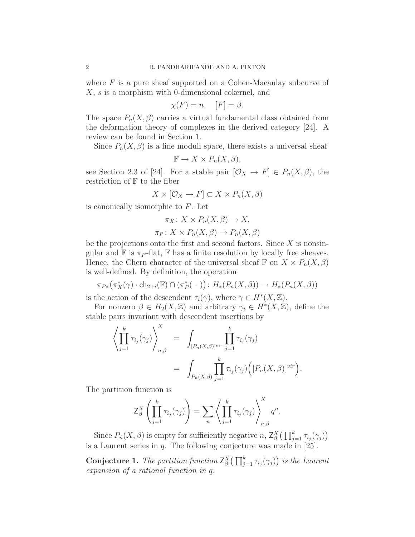where  $F$  is a pure sheaf supported on a Cohen-Macaulay subcurve of X, s is a morphism with 0-dimensional cokernel, and

$$
\chi(F) = n, \quad [F] = \beta.
$$

The space  $P_n(X,\beta)$  carries a virtual fundamental class obtained from the deformation theory of complexes in the derived category [24]. A review can be found in Section 1.

Since  $P_n(X,\beta)$  is a fine moduli space, there exists a universal sheaf

$$
\mathbb{F} \to X \times P_n(X, \beta),
$$

see Section 2.3 of [24]. For a stable pair  $[\mathcal{O}_X \to F] \in P_n(X, \beta)$ , the restriction of  $F$  to the fiber

$$
X \times [\mathcal{O}_X \to F] \subset X \times P_n(X, \beta)
$$

is canonically isomorphic to  $F$ . Let

$$
\pi_X: X \times P_n(X, \beta) \to X,
$$
  

$$
\pi_P: X \times P_n(X, \beta) \to P_n(X, \beta)
$$

be the projections onto the first and second factors. Since  $X$  is nonsingular and  $\mathbb F$  is  $\pi_P$ -flat,  $\mathbb F$  has a finite resolution by locally free sheaves. Hence, the Chern character of the universal sheaf  $\mathbb F$  on  $X \times P_n(X, \beta)$ is well-defined. By definition, the operation

$$
\pi_{P*}(\pi_X^*(\gamma) \cdot \mathrm{ch}_{2+i}(\mathbb{F}) \cap (\pi_P^*(\cdot)) : H_*(P_n(X, \beta)) \to H_*(P_n(X, \beta))
$$

is the action of the descendent  $\tau_i(\gamma)$ , where  $\gamma \in H^*(X,\mathbb{Z})$ .

For nonzero  $\beta \in H_2(X, \mathbb{Z})$  and arbitrary  $\gamma_i \in H^*(X, \mathbb{Z})$ , define the stable pairs invariant with descendent insertions by

$$
\left\langle \prod_{j=1}^k \tau_{i_j}(\gamma_j) \right\rangle_{n,\beta}^X = \int_{[P_n(X,\beta)]^{vir}} \prod_{j=1}^k \tau_{i_j}(\gamma_j)
$$

$$
= \int_{P_n(X,\beta)} \prod_{j=1}^k \tau_{i_j}(\gamma_j) \Big( [P_n(X,\beta)]^{vir} \Big).
$$

The partition function is

$$
\mathsf{Z}_{\beta}^X \left( \prod_{j=1}^k \tau_{i_j}(\gamma_j) \right) = \sum_n \left\langle \prod_{j=1}^k \tau_{i_j}(\gamma_j) \right\rangle_{n,\beta}^X q^n.
$$

Since  $P_n(X, \beta)$  is empty for sufficiently negative n,  $Z_{\beta}^X(\prod_{j=1}^k \tau_{i_j}(\gamma_j))$ is a Laurent series in  $q$ . The following conjecture was made in [25].

**Conjecture 1.** The partition function  $Z_{\beta}^{X}(\prod_{j=1}^{k} \tau_{i_j}(\gamma_j))$  is the Laurent expansion of a rational function in q.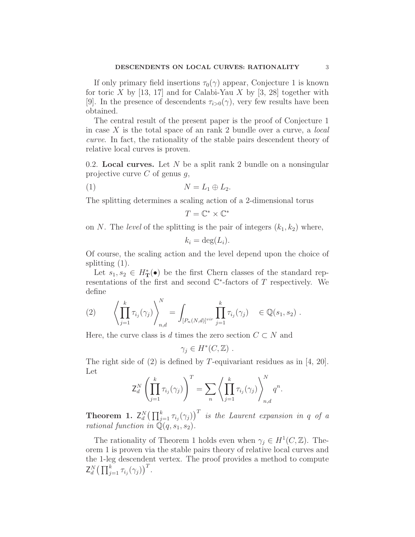If only primary field insertions  $\tau_0(\gamma)$  appear, Conjecture 1 is known for toric X by [13, 17] and for Calabi-Yau X by [3, 28] together with [9]. In the presence of descendents  $\tau_{i>0}(\gamma)$ , very few results have been obtained.

The central result of the present paper is the proof of Conjecture 1 in case  $X$  is the total space of an rank 2 bundle over a curve, a *local* curve. In fact, the rationality of the stable pairs descendent theory of relative local curves is proven.

0.2. Local curves. Let  $N$  be a split rank 2 bundle on a nonsingular projective curve  $C$  of genus  $q$ ,

$$
(1) \t\t N = L_1 \oplus L_2.
$$

The splitting determines a scaling action of a 2-dimensional torus

$$
T=\mathbb{C}^*\times\mathbb{C}^*
$$

on N. The level of the splitting is the pair of integers  $(k_1, k_2)$  where,

$$
k_i = \deg(L_i).
$$

Of course, the scaling action and the level depend upon the choice of splitting (1).

Let  $s_1, s_2 \in H^*_{\mathbf{T}}(\bullet)$  be the first Chern classes of the standard representations of the first and second  $\mathbb{C}^*$ -factors of T respectively. We define

(2) 
$$
\left\langle \prod_{j=1}^k \tau_{i_j}(\gamma_j) \right\rangle_{n,d}^N = \int_{[P_n(N,d)]^{vir}} \prod_{j=1}^k \tau_{i_j}(\gamma_j) \in \mathbb{Q}(s_1, s_2).
$$

Here, the curve class is d times the zero section  $C \subset N$  and

$$
\gamma_j \in H^*(C, \mathbb{Z}) .
$$

The right side of (2) is defined by T-equivariant residues as in [4, 20]. Let

$$
\mathsf{Z}_{d}^{N}\left(\prod_{j=1}^{k}\tau_{i_{j}}(\gamma_{j})\right)^{T}=\sum_{n}\left\langle \prod_{j=1}^{k}\tau_{i_{j}}(\gamma_{j})\right\rangle_{n,d}^{N}q^{n}.
$$

**Theorem 1.**  $Z_d^N\big(\prod_{j=1}^k \tau_{i_j}(\gamma_j)\big)^T$  is the Laurent expansion in q of a rational function in  $\mathbb{Q}(q,s_1,s_2)$ .

The rationality of Theorem 1 holds even when  $\gamma_j \in H^1(C, \mathbb{Z})$ . Theorem 1 is proven via the stable pairs theory of relative local curves and the 1-leg descendent vertex. The proof provides a method to compute  $Z_d^N\big(\prod_{j=1}^k \tau_{i_j}(\gamma_j)\big)^T$ .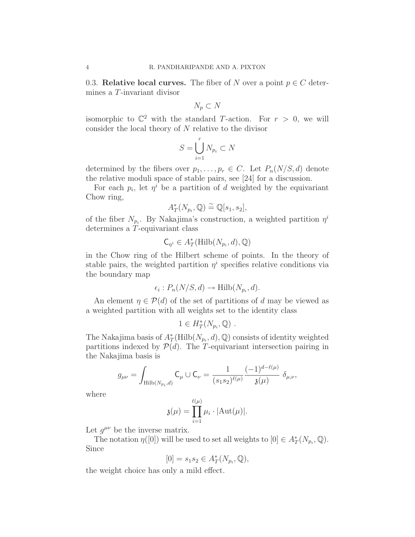0.3. Relative local curves. The fiber of N over a point  $p \in C$  determines a T-invariant divisor

$$
N_p \subset N
$$

isomorphic to  $\mathbb{C}^2$  with the standard T-action. For  $r > 0$ , we will consider the local theory of  $N$  relative to the divisor

$$
S = \bigcup_{i=1}^{r} N_{p_i} \subset N
$$

determined by the fibers over  $p_1, \ldots, p_r \in C$ . Let  $P_n(N/S, d)$  denote the relative moduli space of stable pairs, see [24] for a discussion.

For each  $p_i$ , let  $\eta^i$  be a partition of d weighted by the equivariant Chow ring,

$$
A_T^*(N_{p_i}, \mathbb{Q}) \stackrel{\sim}{=} \mathbb{Q}[s_1, s_2],
$$

of the fiber  $N_{p_i}$ . By Nakajima's construction, a weighted partition  $\eta^i$ determines a T-equivariant class

$$
\mathsf{C}_{\eta^i} \in A_T^*(\mathrm{Hilb}(N_{p_i},d),\mathbb{Q})
$$

in the Chow ring of the Hilbert scheme of points. In the theory of stable pairs, the weighted partition  $\eta^i$  specifies relative conditions via the boundary map

$$
\epsilon_i: P_n(N/S, d) \to \text{Hilb}(N_{p_i}, d).
$$

An element  $\eta \in \mathcal{P}(d)$  of the set of partitions of d may be viewed as a weighted partition with all weights set to the identity class

$$
1 \in H^*_T(N_{p_i}, \mathbb{Q}) \ .
$$

The Nakajima basis of  $A_T^*$ (Hilb $(N_{p_i}, d)$ , Q) consists of identity weighted partitions indexed by  $\mathcal{P}(d)$ . The T-equivariant intersection pairing in the Nakajima basis is

$$
g_{\mu\nu} = \int_{\text{Hilb}(N_{p_i}, d)} \mathsf{C}_{\mu} \cup \mathsf{C}_{\nu} = \frac{1}{(s_1 s_2)^{\ell(\mu)}} \frac{(-1)^{d-\ell(\mu)}}{\mathfrak{z}(\mu)} \delta_{\mu, \nu},
$$

where

$$
\mathfrak{z}(\mu) = \prod_{i=1}^{\ell(\mu)} \mu_i \cdot |\mathrm{Aut}(\mu)|.
$$

Let  $g^{\mu\nu}$  be the inverse matrix.

The notation  $\eta([0])$  will be used to set all weights to  $[0] \in A_T^*(N_{p_i}, \mathbb{Q})$ . Since

$$
[0] = s_1 s_2 \in A_T^*(N_{p_i}, \mathbb{Q}),
$$

the weight choice has only a mild effect.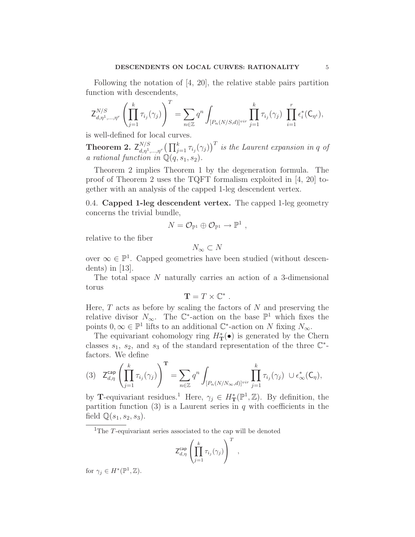Following the notation of [4, 20], the relative stable pairs partition function with descendents,

$$
\mathsf{Z}^{N/S}_{d,\eta^1,\ldots,\eta^r}\left(\prod_{j=1}^k\tau_{i_j}(\gamma_j)\right)^T=\sum_{n\in\mathbb{Z}}q^n\int_{[P_n(N/S,d)]^{vir}}\prod_{j=1}^k\tau_{i_j}(\gamma_j)\,\,\prod_{i=1}^r\epsilon_i^*(\mathsf{C}_{\eta^i}),
$$

is well-defined for local curves.

Theorem 2.  $\mathsf{Z}^{N/S}_{d,n^1}$  $\int_{d,\eta^1,\dots,\eta^r}^{N/S} \big(\prod_{j=1}^k \tau_{i_j}(\gamma_j)\big)^T$  is the Laurent expansion in q of a rational function in  $\mathbb{Q}(q,s_1,s_2)$ .

Theorem 2 implies Theorem 1 by the degeneration formula. The proof of Theorem 2 uses the TQFT formalism exploited in [4, 20] together with an analysis of the capped 1-leg descendent vertex.

0.4. Capped 1-leg descendent vertex. The capped 1-leg geometry concerns the trivial bundle,

$$
N = \mathcal{O}_{\mathbb{P}^1} \oplus \mathcal{O}_{\mathbb{P}^1} \to \mathbb{P}^1 ,
$$

relative to the fiber

$$
N_\infty\subset N
$$

over  $\infty \in \mathbb{P}^1$ . Capped geometries have been studied (without descendents) in [13].

The total space N naturally carries an action of a 3-dimensional torus

$$
\mathbf{T}=T\times\mathbb{C}^*.
$$

Here,  $T$  acts as before by scaling the factors of  $N$  and preserving the relative divisor  $N_{\infty}$ . The  $\mathbb{C}^*$ -action on the base  $\mathbb{P}^1$  which fixes the points  $0, \infty \in \mathbb{P}^1$  lifts to an additional  $\mathbb{C}^*$ -action on N fixing  $N_{\infty}$ .

The equivariant cohomology ring  $H^*_{\mathbf{T}}(\bullet)$  is generated by the Chern classes  $s_1$ ,  $s_2$ , and  $s_3$  of the standard representation of the three  $\mathbb{C}^*$ factors. We define

$$
(3) \quad \mathsf{Z}_{d,\eta}^{\mathsf{cap}}\left(\prod_{j=1}^k\tau_{i_j}(\gamma_j)\right)^{\mathbf{T}}=\sum_{n\in\mathbb{Z}}q^n\int_{[P_n(N/N_\infty,d)]^{vir}}\prod_{j=1}^k\tau_{i_j}(\gamma_j)\ \cup\epsilon^*_\infty(\mathsf{C}_\eta),
$$

by **T**-equivariant residues.<sup>1</sup> Here,  $\gamma_j \in H^*_{\mathbf{T}}(\mathbb{P}^1, \mathbb{Z})$ . By definition, the partition function  $(3)$  is a Laurent series in q with coefficients in the field  $\mathbb{Q}(s_1,s_2,s_3)$ .

<sup>1</sup>The  $T$ -equivariant series associated to the cap will be denoted

$$
\mathsf{Z}_{d,\eta}^{\mathsf{cap}} \left( \prod_{j=1}^k \tau_{i_j}(\gamma_j) \right)^T ,
$$

for  $\gamma_j \in H^*(\mathbb{P}^1, \mathbb{Z})$ .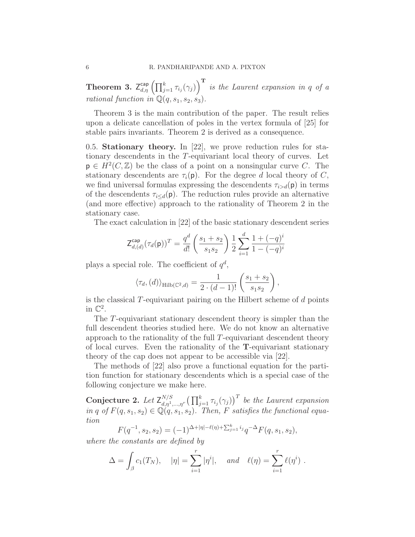**Theorem 3.**  $Z_{d,\eta}^{\text{cap}}\left(\prod_{j=1}^{k} \tau_{i_j}(\gamma_j)\right)^{\text{T}}$  is the Laurent expansion in q of a rational function in  $\mathbb{Q}(q,s_1,s_2,s_3)$ .

Theorem 3 is the main contribution of the paper. The result relies upon a delicate cancellation of poles in the vertex formula of [25] for stable pairs invariants. Theorem 2 is derived as a consequence.

0.5. Stationary theory. In [22], we prove reduction rules for stationary descendents in the T-equivariant local theory of curves. Let  $\mathsf{p} \in H^2(C, \mathbb{Z})$  be the class of a point on a nonsingular curve C. The stationary descendents are  $\tau_i(\mathbf{p})$ . For the degree d local theory of C, we find universal formulas expressing the descendents  $\tau_{i>d}(\mathbf{p})$  in terms of the descendents  $\tau_{i\leq d}(\mathbf{p})$ . The reduction rules provide an alternative (and more effective) approach to the rationality of Theorem 2 in the stationary case.

The exact calculation in [22] of the basic stationary descendent series

$$
\mathsf{Z}_{d,(d)}^{\mathsf{cap}}(\tau_d(\mathsf{p}))^T = \frac{q^d}{d!} \left( \frac{s_1 + s_2}{s_1 s_2} \right) \frac{1}{2} \sum_{i=1}^d \frac{1 + (-q)^i}{1 - (-q)^i}
$$

plays a special role. The coefficient of  $q^d$ ,

$$
\langle \tau_d, (d) \rangle_{\text{Hilb}(\mathbb{C}^2, d)} = \frac{1}{2 \cdot (d-1)!} \left( \frac{s_1 + s_2}{s_1 s_2} \right),
$$

is the classical  $T$ -equivariant pairing on the Hilbert scheme of  $d$  points in  $\mathbb{C}^2$ .

The T-equivariant stationary descendent theory is simpler than the full descendent theories studied here. We do not know an alternative approach to the rationality of the full T-equivariant descendent theory of local curves. Even the rationality of the T-equivariant stationary theory of the cap does not appear to be accessible via [22].

The methods of [22] also prove a functional equation for the partition function for stationary descendents which is a special case of the following conjecture we make here.

Conjecture 2. Let  $\mathsf{Z}_{d,n^1}^{N/S}$  $\int_{d,\eta^1,\dots,\eta^r}^{N/S} \big(\prod_{j=1}^k \tau_{i_j}(\gamma_j)\big)^T$  be the Laurent expansion in q of  $F(q,s_1,s_2) \in \mathbb{Q}(q,s_1,s_2)$ . Then, F satisfies the functional equation

$$
F(q^{-1}, s_2, s_2) = (-1)^{\Delta + |\eta| - \ell(\eta) + \sum_{j=1}^k i_j} q^{-\Delta} F(q, s_1, s_2),
$$

where the constants are defined by

$$
\Delta = \int_{\beta} c_1(T_N), \quad |\eta| = \sum_{i=1}^r |\eta^i|, \quad \text{and} \quad \ell(\eta) = \sum_{i=1}^r \ell(\eta^i) .
$$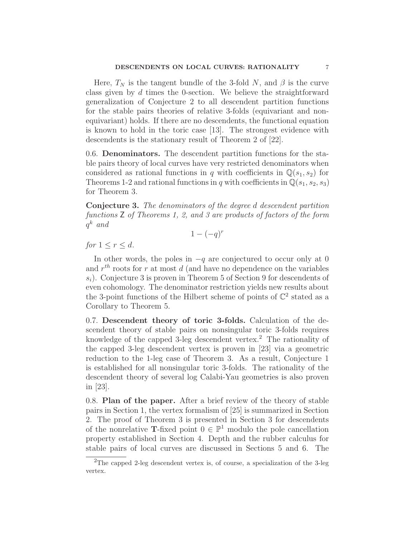Here,  $T_N$  is the tangent bundle of the 3-fold N, and  $\beta$  is the curve class given by d times the 0-section. We believe the straightforward generalization of Conjecture 2 to all descendent partition functions for the stable pairs theories of relative 3-folds (equivariant and nonequivariant) holds. If there are no descendents, the functional equation is known to hold in the toric case [13]. The strongest evidence with descendents is the stationary result of Theorem 2 of [22].

0.6. Denominators. The descendent partition functions for the stable pairs theory of local curves have very restricted denominators when considered as rational functions in q with coefficients in  $\mathbb{Q}(s_1,s_2)$  for Theorems 1-2 and rational functions in q with coefficients in  $\mathbb{Q}(s_1,s_2,s_3)$ for Theorem 3.

Conjecture 3. The denominators of the degree d descendent partition functions Z of Theorems 1, 2, and 3 are products of factors of the form  $q^k$  and

 $1 - (-q)^r$ 

for  $1 \leq r \leq d$ .

In other words, the poles in  $-q$  are conjectured to occur only at 0 and  $r^{th}$  roots for r at most d (and have no dependence on the variables  $s_i$ ). Conjecture 3 is proven in Theorem 5 of Section 9 for descendents of even cohomology. The denominator restriction yields new results about the 3-point functions of the Hilbert scheme of points of  $\mathbb{C}^2$  stated as a Corollary to Theorem 5.

0.7. Descendent theory of toric 3-folds. Calculation of the descendent theory of stable pairs on nonsingular toric 3-folds requires knowledge of the capped 3-leg descendent vertex.<sup>2</sup> The rationality of the capped 3-leg descendent vertex is proven in [23] via a geometric reduction to the 1-leg case of Theorem 3. As a result, Conjecture 1 is established for all nonsingular toric 3-folds. The rationality of the descendent theory of several log Calabi-Yau geometries is also proven in [23].

0.8. Plan of the paper. After a brief review of the theory of stable pairs in Section 1, the vertex formalism of [25] is summarized in Section 2. The proof of Theorem 3 is presented in Section 3 for descendents of the nonrelative T-fixed point  $0 \in \mathbb{P}^1$  modulo the pole cancellation property established in Section 4. Depth and the rubber calculus for stable pairs of local curves are discussed in Sections 5 and 6. The

<sup>&</sup>lt;sup>2</sup>The capped 2-leg descendent vertex is, of course, a specialization of the 3-leg vertex.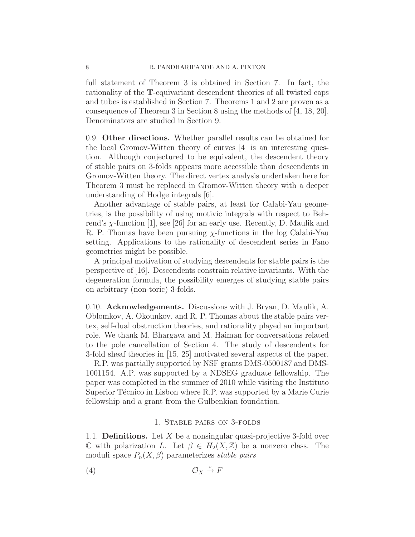full statement of Theorem 3 is obtained in Section 7. In fact, the rationality of the T-equivariant descendent theories of all twisted caps and tubes is established in Section 7. Theorems 1 and 2 are proven as a consequence of Theorem 3 in Section 8 using the methods of [4, 18, 20]. Denominators are studied in Section 9.

0.9. Other directions. Whether parallel results can be obtained for the local Gromov-Witten theory of curves [4] is an interesting question. Although conjectured to be equivalent, the descendent theory of stable pairs on 3-folds appears more accessible than descendents in Gromov-Witten theory. The direct vertex analysis undertaken here for Theorem 3 must be replaced in Gromov-Witten theory with a deeper understanding of Hodge integrals [6].

Another advantage of stable pairs, at least for Calabi-Yau geometries, is the possibility of using motivic integrals with respect to Behrend's  $\chi$ -function [1], see [26] for an early use. Recently, D. Maulik and R. P. Thomas have been pursuing  $\chi$ -functions in the log Calabi-Yau setting. Applications to the rationality of descendent series in Fano geometries might be possible.

A principal motivation of studying descendents for stable pairs is the perspective of [16]. Descendents constrain relative invariants. With the degeneration formula, the possibility emerges of studying stable pairs on arbitrary (non-toric) 3-folds.

0.10. Acknowledgements. Discussions with J. Bryan, D. Maulik, A. Oblomkov, A. Okounkov, and R. P. Thomas about the stable pairs vertex, self-dual obstruction theories, and rationality played an important role. We thank M. Bhargava and M. Haiman for conversations related to the pole cancellation of Section 4. The study of descendents for 3-fold sheaf theories in [15, 25] motivated several aspects of the paper.

R.P. was partially supported by NSF grants DMS-0500187 and DMS-1001154. A.P. was supported by a NDSEG graduate fellowship. The paper was completed in the summer of 2010 while visiting the Instituto Superior Técnico in Lisbon where R.P. was supported by a Marie Curie fellowship and a grant from the Gulbenkian foundation.

### 1. Stable pairs on 3-folds

1.1. **Definitions.** Let X be a nonsingular quasi-projective 3-fold over  $\mathbb C$  with polarization L. Let  $\beta \in H_2(X,\mathbb Z)$  be a nonzero class. The moduli space  $P_n(X, \beta)$  parameterizes stable pairs

(4) O<sup>X</sup> <sup>s</sup>→ F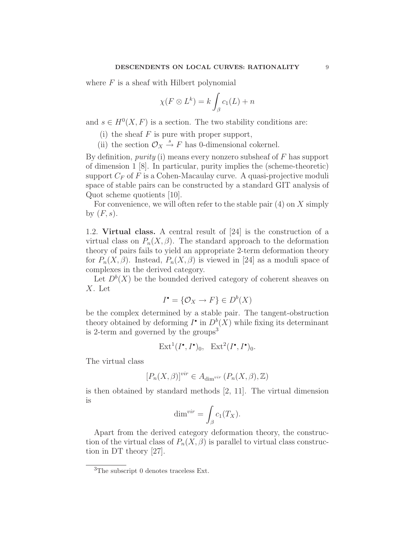where  $F$  is a sheaf with Hilbert polynomial

$$
\chi(F \otimes L^k) = k \int_{\beta} c_1(L) + n
$$

and  $s \in H^0(X, F)$  is a section. The two stability conditions are:

- (i) the sheaf  $F$  is pure with proper support,
- (ii) the section  $\mathcal{O}_X \stackrel{s}{\rightarrow} F$  has 0-dimensional cokernel.

By definition, *purity* (i) means every nonzero subsheaf of  $F$  has support of dimension 1 [8]. In particular, purity implies the (scheme-theoretic) support  $C_F$  of F is a Cohen-Macaulay curve. A quasi-projective moduli space of stable pairs can be constructed by a standard GIT analysis of Quot scheme quotients [10].

For convenience, we will often refer to the stable pair  $(4)$  on X simply by  $(F, s)$ .

1.2. Virtual class. A central result of [24] is the construction of a virtual class on  $P_n(X,\beta)$ . The standard approach to the deformation theory of pairs fails to yield an appropriate 2-term deformation theory for  $P_n(X, \beta)$ . Instead,  $P_n(X, \beta)$  is viewed in [24] as a moduli space of complexes in the derived category.

Let  $D^b(X)$  be the bounded derived category of coherent sheaves on X. Let

$$
I^{\bullet} = \{ \mathcal{O}_X \to F \} \in D^b(X)
$$

be the complex determined by a stable pair. The tangent-obstruction theory obtained by deforming  $I^{\bullet}$  in  $D^b(X)$  while fixing its determinant is 2-term and governed by the groups<sup>3</sup>

$$
\text{Ext}^1(I^\bullet, I^\bullet)_0, \quad \text{Ext}^2(I^\bullet, I^\bullet)_0.
$$

The virtual class

$$
[P_n(X,\beta)]^{vir} \in A_{\dim^{vir}}(P_n(X,\beta),\mathbb{Z})
$$

is then obtained by standard methods [2, 11]. The virtual dimension is

$$
\dim^{vir} = \int_{\beta} c_1(T_X).
$$

Apart from the derived category deformation theory, the construction of the virtual class of  $P_n(X,\beta)$  is parallel to virtual class construction in DT theory [27].

<sup>&</sup>lt;sup>3</sup>The subscript 0 denotes traceless Ext.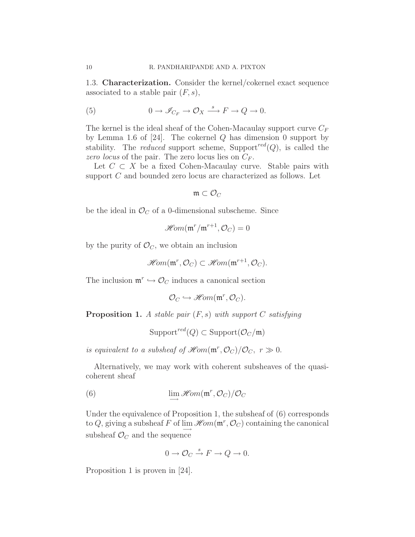1.3. Characterization. Consider the kernel/cokernel exact sequence associated to a stable pair  $(F, s)$ ,

(5) 
$$
0 \to \mathscr{I}_{C_F} \to \mathcal{O}_X \xrightarrow{s} F \to Q \to 0.
$$

The kernel is the ideal sheaf of the Cohen-Macaulay support curve  $C_F$ by Lemma 1.6 of  $[24]$ . The cokernel Q has dimension 0 support by stability. The *reduced* support scheme, Support<sup>red</sup> $(Q)$ , is called the zero locus of the pair. The zero locus lies on  $C_F$ .

Let  $C \subset X$  be a fixed Cohen-Macaulay curve. Stable pairs with support C and bounded zero locus are characterized as follows. Let

 $\mathfrak{m} \subset \mathcal{O}_C$ 

be the ideal in  $\mathcal{O}_C$  of a 0-dimensional subscheme. Since

$$
\mathscr{H}\hspace{-1pt}\mathit{om}(\mathfrak{m}^r/\mathfrak{m}^{r+1},\mathcal{O}_C)=0
$$

by the purity of  $\mathcal{O}_C$ , we obtain an inclusion

$$
\mathscr{Hom}(\mathfrak{m}^r, \mathcal{O}_C) \subset \mathscr{Hom}(\mathfrak{m}^{r+1}, \mathcal{O}_C).
$$

The inclusion  $\mathfrak{m}^r \hookrightarrow \mathcal{O}_C$  induces a canonical section

$$
\mathcal{O}_C \hookrightarrow \mathscr{H}\!om(\mathfrak{m}^r, \mathcal{O}_C).
$$

**Proposition 1.** A stable pair  $(F, s)$  with support C satisfying

$$
Support^{red}(Q) \subset Support(\mathcal{O}_C/\mathfrak{m})
$$

is equivalent to a subsheaf of  $\mathscr{H}om(\mathfrak{m}^r, \mathcal{O}_C)/\mathcal{O}_C$ ,  $r \gg 0$ .

Alternatively, we may work with coherent subsheaves of the quasicoherent sheaf

(6) 
$$
\lim_{\longrightarrow} \mathcal{H}om(\mathfrak{m}^r, \mathcal{O}_C)/\mathcal{O}_C
$$

Under the equivalence of Proposition 1, the subsheaf of (6) corresponds to Q, giving a subsheaf F of  $\lim_{n \to \infty} \mathcal{H}om(\mathfrak{m}^r, \mathcal{O}_C)$  containing the canonical subsheaf  $\mathcal{O}_C$  and the sequence

$$
0 \to \mathcal{O}_C \xrightarrow{s} F \to Q \to 0.
$$

Proposition 1 is proven in [24].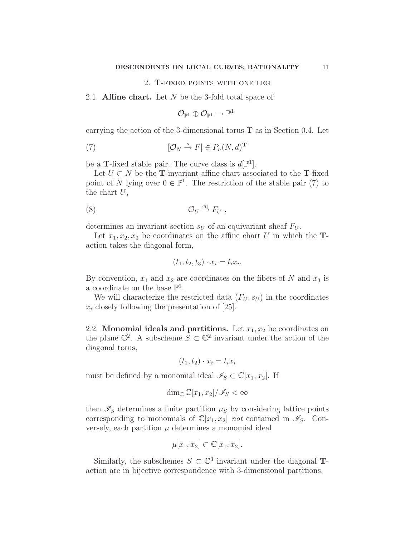#### 2. T-fixed points with one leg

### 2.1. **Affine chart.** Let  $N$  be the 3-fold total space of

$$
\mathcal{O}_{\mathbb{P}^1}\oplus \mathcal{O}_{\mathbb{P}^1}\to \mathbb{P}^1
$$

carrying the action of the 3-dimensional torus  $\mathbf T$  as in Section 0.4. Let

(7) 
$$
[\mathcal{O}_N \stackrel{s}{\to} F] \in P_n(N, d)^{\mathbf{T}}
$$

be a T-fixed stable pair. The curve class is  $d[\mathbb{P}^1]$ .

Let  $U \subset N$  be the T-invariant affine chart associated to the T-fixed point of N lying over  $0 \in \mathbb{P}^1$ . The restriction of the stable pair (7) to the chart  $U$ ,

(8) O<sup>U</sup> → s<sup>U</sup> F<sup>U</sup> ,

determines an invariant section  $s_U$  of an equivariant sheaf  $F_U$ .

Let  $x_1, x_2, x_3$  be coordinates on the affine chart U in which the **T**action takes the diagonal form,

$$
(t_1, t_2, t_3) \cdot x_i = t_i x_i.
$$

By convention,  $x_1$  and  $x_2$  are coordinates on the fibers of N and  $x_3$  is a coordinate on the base  $\mathbb{P}^1$ .

We will characterize the restricted data  $(F_U, s_U)$  in the coordinates  $x_i$  closely following the presentation of [25].

2.2. Monomial ideals and partitions. Let  $x_1, x_2$  be coordinates on the plane  $\mathbb{C}^2$ . A subscheme  $S \subset \mathbb{C}^2$  invariant under the action of the diagonal torus,

$$
(t_1, t_2) \cdot x_i = t_i x_i
$$

must be defined by a monomial ideal  $\mathscr{I}_S \subset \mathbb{C}[x_1,x_2]$ . If

$$
\dim_{\mathbb{C}} \mathbb{C}[x_1, x_2]/\mathscr{I}_S < \infty
$$

then  $\mathscr{I}_S$  determines a finite partition  $\mu_S$  by considering lattice points corresponding to monomials of  $\mathbb{C}[x_1,x_2]$  not contained in  $\mathscr{I}_S$ . Conversely, each partition  $\mu$  determines a monomial ideal

$$
\mu[x_1, x_2] \subset \mathbb{C}[x_1, x_2].
$$

Similarly, the subschemes  $S \subset \mathbb{C}^3$  invariant under the diagonal **T**action are in bijective correspondence with 3-dimensional partitions.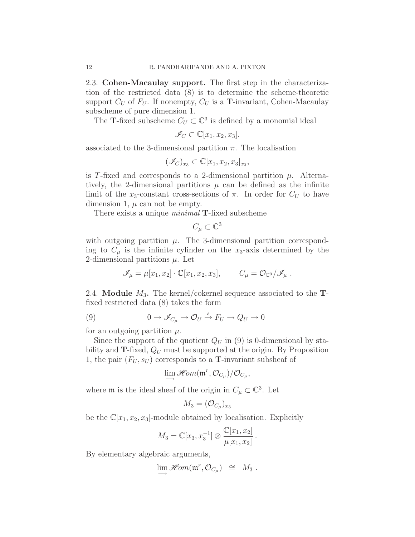2.3. Cohen-Macaulay support. The first step in the characterization of the restricted data (8) is to determine the scheme-theoretic support  $C_U$  of  $F_U$ . If nonempty,  $C_U$  is a **T**-invariant, Cohen-Macaulay subscheme of pure dimension 1.

The **T**-fixed subscheme  $C_U \subset \mathbb{C}^3$  is defined by a monomial ideal

$$
\mathscr{I}_C \subset \mathbb{C}[x_1, x_2, x_3].
$$

associated to the 3-dimensional partition  $\pi$ . The localisation

$$
(\mathscr{I}_C)_{x_3} \subset \mathbb{C}[x_1, x_2, x_3]_{x_3},
$$

is T-fixed and corresponds to a 2-dimensional partition  $\mu$ . Alternatively, the 2-dimensional partitions  $\mu$  can be defined as the infinite limit of the x<sub>3</sub>-constant cross-sections of  $\pi$ . In order for  $C_U$  to have dimension 1,  $\mu$  can not be empty.

There exists a unique *minimal* **T**-fixed subscheme

$$
C_{\mu} \subset \mathbb{C}^3
$$

with outgoing partition  $\mu$ . The 3-dimensional partition corresponding to  $C_{\mu}$  is the infinite cylinder on the  $x_3$ -axis determined by the 2-dimensional partitions  $\mu$ . Let

$$
\mathscr{I}_{\mu} = \mu[x_1, x_2] \cdot \mathbb{C}[x_1, x_2, x_3], \qquad C_{\mu} = \mathcal{O}_{\mathbb{C}^3}/\mathscr{I}_{\mu} .
$$

2.4. **Module**  $M_3$ . The kernel/cokernel sequence associated to the **T**fixed restricted data (8) takes the form

(9) 
$$
0 \to \mathscr{I}_{C_{\mu}} \to \mathcal{O}_{U} \stackrel{s}{\to} F_{U} \to Q_{U} \to 0
$$

for an outgoing partition  $\mu$ .

Since the support of the quotient  $Q_U$  in (9) is 0-dimensional by stability and  $\mathbf{T}\text{-fixed}$ ,  $Q_U$  must be supported at the origin. By Proposition 1, the pair  $(F_U, s_U)$  corresponds to a **T**-invariant subsheaf of

$$
\lim_{\longrightarrow} \mathscr{H}\!om(\mathfrak{m}^r,\mathcal{O}_{C_{\mu}})/\mathcal{O}_{C_{\mu}},
$$

where  $\mathfrak m$  is the ideal sheaf of the origin in  $C_\mu \subset \mathbb C^3$ . Let

$$
M_3 = (\mathcal{O}_{C_{\mu}})_{x_3}
$$

be the  $\mathbb{C}[x_1,x_2,x_3]$ -module obtained by localisation. Explicitly

$$
M_3 = \mathbb{C}[x_3, x_3^{-1}] \otimes \frac{\mathbb{C}[x_1, x_2]}{\mu[x_1, x_2]}.
$$

By elementary algebraic arguments,

$$
\lim_{\longrightarrow} \mathscr{H}\hspace{-1pt}\mathit{om}(\mathfrak{m}^r,\mathcal{O}_{C_\mu}) \cong M_3.
$$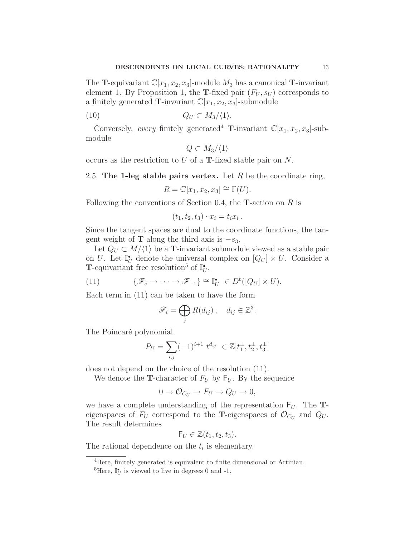The **T**-equivariant  $\mathbb{C}[x_1,x_2,x_3]$ -module  $M_3$  has a canonical **T**-invariant element 1. By Proposition 1, the T-fixed pair  $(F_U, s_U)$  corresponds to a finitely generated **T**-invariant  $\mathbb{C}[x_1,x_2,x_3]$ -submodule

$$
(10) \t\t Q_U \subset M_3/\langle 1 \rangle.
$$

Conversely, every finitely generated<sup>4</sup> T-invariant  $\mathbb{C}[x_1,x_2,x_3]$ -submodule

$$
Q \subset M_3/\langle 1 \rangle
$$

occurs as the restriction to U of a T-fixed stable pair on N.

2.5. The 1-leg stable pairs vertex. Let  $R$  be the coordinate ring,

$$
R = \mathbb{C}[x_1, x_2, x_3] \cong \Gamma(U).
$$

Following the conventions of Section 0.4, the **T**-action on  $R$  is

$$
(t_1, t_2, t_3) \cdot x_i = t_i x_i
$$

.

.

Since the tangent spaces are dual to the coordinate functions, the tangent weight of **T** along the third axis is  $-s_3$ .

Let  $Q_U \subset M/\langle 1 \rangle$  be a **T**-invariant submodule viewed as a stable pair on U. Let  $\mathbb{I}_U^{\bullet}$  denote the universal complex on  $[Q_U] \times U$ . Consider a **T**-equivariant free resolution<sup>5</sup> of  $\mathbb{I}_{U}^{\bullet}$ ,

(11) 
$$
\{\mathscr{F}_s \to \cdots \to \mathscr{F}_{-1}\} \cong \mathbb{I}_U^{\bullet} \in D^b([Q_U] \times U).
$$

Each term in (11) can be taken to have the form

$$
\mathscr{F}_i = \bigoplus_j R(d_{ij}), \quad d_{ij} \in \mathbb{Z}^3
$$

The Poincaré polynomial

$$
P_U = \sum_{i,j} (-1)^{i+1} t^{d_{ij}} \in \mathbb{Z}[t_1^{\pm}, t_2^{\pm}, t_3^{\pm}]
$$

does not depend on the choice of the resolution (11).

We denote the **T**-character of  $F_U$  by  $F_U$ . By the sequence

$$
0 \to \mathcal{O}_{C_U} \to F_U \to Q_U \to 0,
$$

we have a complete understanding of the representation  $F_U$ . The **T**eigenspaces of  $F_U$  correspond to the **T**-eigenspaces of  $\mathcal{O}_{C_U}$  and  $Q_U$ . The result determines

$$
\mathsf{F}_U \in \mathbb{Z}(t_1, t_2, t_3).
$$

The rational dependence on the  $t_i$  is elementary.

<sup>&</sup>lt;sup>4</sup>Here, finitely generated is equivalent to finite dimensional or Artinian.

<sup>&</sup>lt;sup>5</sup>Here,  $\mathbb{I}_U^{\bullet}$  is viewed to live in degrees 0 and -1.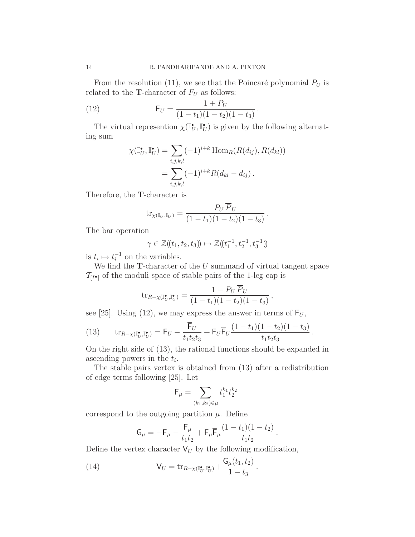From the resolution (11), we see that the Poincaré polynomial  $P_U$  is related to the **T**-character of  $F_U$  as follows:

.

.

(12) 
$$
F_U = \frac{1 + P_U}{(1 - t_1)(1 - t_2)(1 - t_3)}
$$

The virtual represention  $\chi(\mathbb{I}_U^{\bullet}, \mathbb{I}_U^{\bullet})$  is given by the following alternating sum

$$
\chi(\mathbb{I}_U^{\bullet}, \mathbb{I}_U^{\bullet}) = \sum_{i,j,k,l} (-1)^{i+k} \operatorname{Hom}_R(R(d_{ij}), R(d_{kl}))
$$
  
= 
$$
\sum_{i,j,k,l} (-1)^{i+k} R(d_{kl} - d_{ij}).
$$

Therefore, the T-character is

$$
\mathrm{tr}_{\chi(\mathbb{I}_U,\mathbb{I}_U)} = \frac{P_U \, \overline{P}_U}{(1-t_1)(1-t_2)(1-t_3)} \, .
$$

The bar operation

$$
\gamma \in \mathbb{Z}(\!(t_1,t_2,t_3)\!)\mapsto \mathbb{Z}(\!(t_1^{-1},t_2^{-1},t_3^{-1})\!)
$$

is  $t_i \mapsto t_i^{-1}$  $i^{\text{-}1}$  on the variables.

We find the  $T$ -character of the  $U$  summand of virtual tangent space  $\mathcal{T}_{[I^{\bullet}]}$  of the moduli space of stable pairs of the 1-leg cap is

$$
\text{tr}_{R-\chi(\mathbb{I}_U^\bullet,\mathbb{I}_U^\bullet)} = \frac{1-P_U \overline{P}_U}{(1-t_1)(1-t_2)(1-t_3)},
$$

see [25]. Using (12), we may express the answer in terms of  $F_U$ ,

(13) 
$$
\text{tr}_{R-\chi(\mathbb{I}_U^{\bullet}, \mathbb{I}_U^{\bullet})} = \mathsf{F}_U - \frac{\mathsf{F}_U}{t_1 t_2 t_3} + \mathsf{F}_U \overline{\mathsf{F}}_U \frac{(1-t_1)(1-t_2)(1-t_3)}{t_1 t_2 t_3}
$$

On the right side of (13), the rational functions should be expanded in ascending powers in the  $t_i$ .

The stable pairs vertex is obtained from (13) after a redistribution of edge terms following [25]. Let

$$
\mathsf{F}_{\mu} = \sum_{(k_1,k_2)\in\mu} t_1^{k_1} t_2^{k_2}
$$

correspond to the outgoing partition  $\mu$ . Define

$$
G_{\mu} = -F_{\mu} - \frac{\overline{F}_{\mu}}{t_1 t_2} + F_{\mu} \overline{F}_{\mu} \frac{(1 - t_1)(1 - t_2)}{t_1 t_2}.
$$

Define the vertex character  $V_U$  by the following modification,

(14) 
$$
\mathsf{V}_U = \mathrm{tr}_{R-\chi(\mathbb{I}_U^\bullet, \mathbb{I}_U^\bullet)} + \frac{\mathsf{G}_\mu(t_1, t_2)}{1 - t_3}.
$$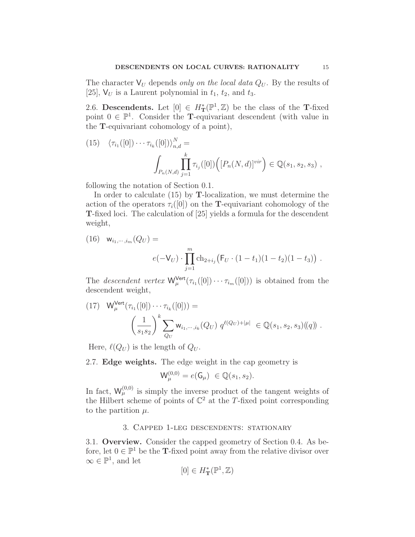The character  $V_U$  depends only on the local data  $Q_U$ . By the results of [25],  $V_U$  is a Laurent polynomial in  $t_1$ ,  $t_2$ , and  $t_3$ .

2.6. Descendents. Let  $[0] \in H^*_T(\mathbb{P}^1, \mathbb{Z})$  be the class of the T-fixed point  $0 \in \mathbb{P}^1$ . Consider the **T**-equivariant descendent (with value in the T-equivariant cohomology of a point),

(15) 
$$
\langle \tau_{i_1}([0]) \cdots \tau_{i_k}([0]) \rangle_{n,d}^N =
$$
  

$$
\int_{P_n(N,d)} \prod_{j=1}^k \tau_{i_j}([0]) \Big( [P_n(N,d)]^{vir} \Big) \in \mathbb{Q}(s_1, s_2, s_3) ,
$$

following the notation of Section 0.1.

In order to calculate (15) by T-localization, we must determine the action of the operators  $\tau_i([0])$  on the **T**-equivariant cohomology of the T-fixed loci. The calculation of [25] yields a formula for the descendent weight,

(16) 
$$
\mathbf{w}_{i_1,\dots,i_m}(Q_U) =
$$
  
\n
$$
e(-\mathsf{V}_U) \cdot \prod_{j=1}^m \mathrm{ch}_{2+i_j} \left( \mathsf{F}_U \cdot (1-t_1)(1-t_2)(1-t_3) \right) .
$$

The *descendent vertex*  $W_{\mu}^{\text{Vert}}(\tau_{i_1}([0]) \cdots \tau_{i_m}([0]))$  is obtained from the descendent weight,

(17) 
$$
W_{\mu}^{\text{Vert}}(\tau_{i_1}([0]) \cdots \tau_{i_k}([0])) =
$$

$$
\left(\frac{1}{s_1 s_2}\right)^k \sum_{Q_U} w_{i_1, \dots, i_k}(Q_U) q^{\ell(Q_U) + |\mu|} \in \mathbb{Q}(s_1, s_2, s_3)((q)) .
$$

Here,  $\ell(Q_U)$  is the length of  $Q_U$ .

2.7. Edge weights. The edge weight in the cap geometry is

$$
\mathsf{W}^{(0,0)}_{\mu} = e(\mathsf{G}_{\mu}) \in \mathbb{Q}(s_1, s_2).
$$

In fact,  $W_{\mu}^{(0,0)}$  is simply the inverse product of the tangent weights of the Hilbert scheme of points of  $\mathbb{C}^2$  at the T-fixed point corresponding to the partition  $\mu$ .

### 3. Capped 1-leg descendents: stationary

3.1. Overview. Consider the capped geometry of Section 0.4. As before, let  $0 \in \mathbb{P}^1$  be the **T**-fixed point away from the relative divisor over  $\infty \in \mathbb{P}^1$ , and let

$$
[0] \in H^*_{\mathbf{T}}(\mathbb{P}^1, \mathbb{Z})
$$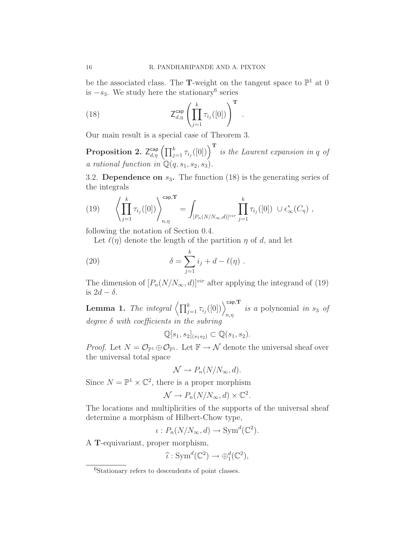be the associated class. The **T**-weight on the tangent space to  $\mathbb{P}^1$  at 0 is  $-s_3$ . We study here the stationary<sup>6</sup> series

(18) 
$$
Z_{d,\eta}^{\text{cap}} \left( \prod_{j=1}^{k} \tau_{i_j}([0]) \right)^{\text{T}}.
$$

Our main result is a special case of Theorem 3.

**Proposition 2.**  $Z_{d,\eta}^{\text{cap}}\left(\prod_{j=1}^{k} \tau_{i_j}([0])\right)^{\text{T}}$  is the Laurent expansion in q of a rational function in  $\mathbb{Q}(q,s_1,s_2,s_3)$ .

3.2. Dependence on  $s_3$ . The function (18) is the generating series of the integrals

(19) 
$$
\left\langle \prod_{j=1}^{k} \tau_{i_j}([0]) \right\rangle_{n,\eta}^{\text{cap,T}} = \int_{[P_n(N/N_\infty,d)]^{vir}} \prod_{j=1}^{k} \tau_{i_j}([0]) \cup \epsilon^*_{\infty}(C_{\eta}),
$$

following the notation of Section 0.4.

Let  $\ell(\eta)$  denote the length of the partition  $\eta$  of d, and let

(20) 
$$
\delta = \sum_{j=1}^{k} i_j + d - \ell(\eta) .
$$

The dimension of  $[P_n(N/N_\infty, d)]^{vir}$  after applying the integrand of (19) is  $2d - \delta$ .

**Lemma 1.** The integral  $\left\langle \prod_{j=1}^k \tau_{i_j}([0]) \right\rangle_{n,\eta}^{\text{cap,T}}$  is a polynomial in s<sub>3</sub> of degree  $\delta$  with coefficients in the subring

$$
\mathbb{Q}[s_1, s_2]_{(s_1 s_2)} \subset \mathbb{Q}(s_1, s_2).
$$

*Proof.* Let  $N = \mathcal{O}_{\mathbb{P}^1} \oplus \mathcal{O}_{\mathbb{P}^1}$ . Let  $\mathbb{F} \to \mathcal{N}$  denote the universal sheaf over the universal total space

$$
\mathcal{N} \to P_n(N/N_\infty, d).
$$

Since  $N = \mathbb{P}^1 \times \mathbb{C}^2$ , there is a proper morphism

$$
\mathcal{N} \to P_n(N/N_\infty, d) \times \mathbb{C}^2.
$$

The locations and multiplicities of the supports of the universal sheaf determine a morphism of Hilbert-Chow type,

$$
\iota: P_n(N/N_{\infty}, d) \to \text{Sym}^d(\mathbb{C}^2).
$$

A T-equivariant, proper morphism,

$$
\widehat{\iota} : \mathrm{Sym}^d(\mathbb{C}^2) \to \oplus_1^d(\mathbb{C}^2),
$$

<sup>6</sup>Stationary refers to descendents of point classes.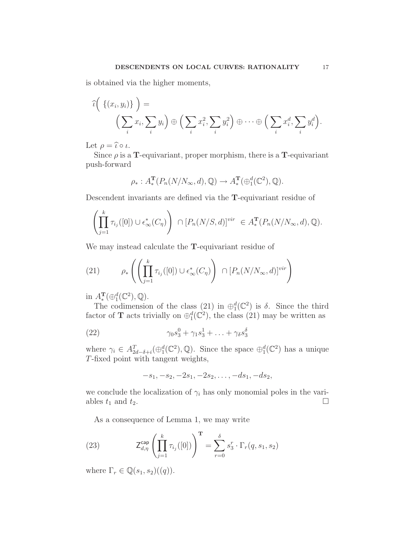is obtained via the higher moments,

$$
\widehat{\iota}\bigg(\left\{(x_i, y_i)\right\}\bigg) = \qquad \qquad \left(\sum_i x_i, \sum_i y_i\right) \oplus \left(\sum_i x_i^2, \sum_i y_i^2\right) \oplus \cdots \oplus \left(\sum_i x_i^d, \sum_i y_i^d\right).
$$

Let  $\rho = \hat{\iota} \circ \iota$ .

Since  $\rho$  is a **T**-equivariant, proper morphism, there is a **T**-equivariant push-forward

$$
\rho_*: A_*^{\mathbf{T}}(P_n(N/N_\infty, d), \mathbb{Q}) \to A_*^{\mathbf{T}}(\bigoplus_1^d(\mathbb{C}^2), \mathbb{Q}).
$$

Descendent invariants are defined via the T-equivariant residue of

$$
\left(\prod_{j=1}^k \tau_{i_j}([0]) \cup \epsilon^*_{\infty}(C_{\eta})\right) \cap [P_n(N/S, d)]^{vir} \in A_*^{\mathbf{T}}(P_n(N/N_{\infty}, d), \mathbb{Q}).
$$

We may instead calculate the T-equivariant residue of

(21) 
$$
\rho_*\left(\left(\prod_{j=1}^k \tau_{i_j}([0]) \cup \epsilon^*_{\infty}(C_{\eta})\right) \cap [P_n(N/N_{\infty}, d)]^{vir}\right)
$$

in  $A_*^{\mathbf{T}}(\bigoplus_1^d (\mathbb{C}^2), \mathbb{Q})$ .

The codimension of the class (21) in  $\bigoplus_{1}^{d}(\mathbb{C}^{2})$  is  $\delta$ . Since the third factor of **T** acts trivially on  $\bigoplus_{1}^{d}(\mathbb{C}^{2})$ , the class (21) may be written as

(22) 
$$
\gamma_0 s_3^0 + \gamma_1 s_3^1 + \ldots + \gamma_\delta s_3^\delta
$$

where  $\gamma_i \in A_{2d-\delta+i}^T(\oplus_1^d(\mathbb{C}^2), \mathbb{Q})$ . Since the space  $\oplus_1^d(\mathbb{C}^2)$  has a unique T-fixed point with tangent weights,

$$
-s_1, -s_2, -2s_1, -2s_2, \ldots, -ds_1, -ds_2,
$$

we conclude the localization of  $\gamma_i$  has only monomial poles in the variables  $t_1$  and  $t_2$ .

As a consequence of Lemma 1, we may write

(23) 
$$
\mathsf{Z}_{d,\eta}^{\mathsf{cap}} \left( \prod_{j=1}^{k} \tau_{i_j}([0]) \right)^{\mathbf{T}} = \sum_{r=0}^{\delta} s_3^r \cdot \Gamma_r(q, s_1, s_2)
$$

where  $\Gamma_r \in \mathbb{Q}(s_1, s_2)((q))$ .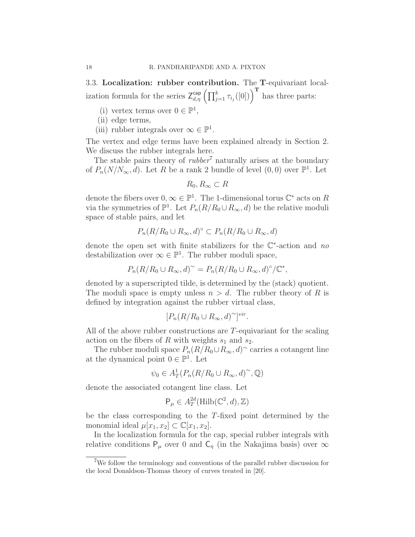3.3. Localization: rubber contribution. The T-equivariant localization formula for the series  $Z_{d,\eta}^{\text{cap}}\left(\prod_{j=1}^{k} \tau_{i_j}([0])\right)^{\text{T}}$  has three parts:

- (i) vertex terms over  $0 \in \mathbb{P}^1$ ,
- (ii) edge terms,
- (iii) rubber integrals over  $\infty \in \mathbb{P}^1$ .

The vertex and edge terms have been explained already in Section 2. We discuss the rubber integrals here.

The stable pairs theory of  $rubber^7$  naturally arises at the boundary of  $P_n(N/N_\infty, d)$ . Let R be a rank 2 bundle of level  $(0, 0)$  over  $\mathbb{P}^1$ . Let

$$
R_0, R_\infty \subset R
$$

denote the fibers over  $0, \infty \in \mathbb{P}^1$ . The 1-dimensional torus  $\mathbb{C}^*$  acts on R via the symmetries of  $\mathbb{P}^1$ . Let  $P_n(R/R_0 \cup R_\infty, d)$  be the relative moduli space of stable pairs, and let

$$
P_n(R/R_0 \cup R_\infty, d)^\circ \subset P_n(R/R_0 \cup R_\infty, d)
$$

denote the open set with finite stabilizers for the  $\mathbb{C}^*$ -action and no destabilization over  $\infty \in \mathbb{P}^1$ . The rubber moduli space,

$$
P_n(R/R_0 \cup R_\infty, d)^\sim = P_n(R/R_0 \cup R_\infty, d)^\circ / \mathbb{C}^*,
$$

denoted by a superscripted tilde, is determined by the (stack) quotient. The moduli space is empty unless  $n > d$ . The rubber theory of R is defined by integration against the rubber virtual class,

$$
[P_n(R/R_0 \cup R_\infty, d)^\sim]^{vir}
$$

.

All of the above rubber constructions are T-equivariant for the scaling action on the fibers of R with weights  $s_1$  and  $s_2$ .

The rubber moduli space  $P_n(R/R_0 \cup R_\infty, d)$ <sup>~</sup> carries a cotangent line at the dynamical point  $0 \in \mathbb{P}^1$ . Let

$$
\psi_0 \in A^1_T(P_n(R/R_0 \cup R_\infty, d)^\sim, \mathbb{Q})
$$

denote the associated cotangent line class. Let

$$
\mathsf{P}_\mu \in A_T^{2d}(\mathrm{Hilb}(\mathbb{C}^2,d),\mathbb{Z})
$$

be the class corresponding to the T-fixed point determined by the monomial ideal  $\mu[x_1,x_2] \subset \mathbb{C}[x_1,x_2]$ .

In the localization formula for the cap, special rubber integrals with relative conditions  $P_\mu$  over 0 and  $C_\eta$  (in the Nakajima basis) over  $\infty$ 

<sup>&</sup>lt;sup>7</sup>We follow the terminology and conventions of the parallel rubber discussion for the local Donaldson-Thomas theory of curves treated in [20].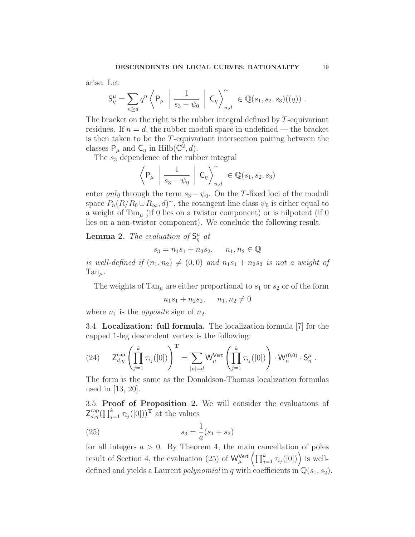arise. Let

$$
\mathsf{S}^{\mu}_{\eta} = \sum_{n \geq d} q^n \left\langle \mathsf{P}_{\mu} \mid \frac{1}{s_3 - \psi_0} \mid \mathsf{C}_{\eta} \right\rangle_{n,d}^{\sim} \in \mathbb{Q}(s_1, s_2, s_3)((q)) .
$$

The bracket on the right is the rubber integral defined by T-equivariant residues. If  $n = d$ , the rubber moduli space in undefined — the bracket is then taken to be the T-equivariant intersection pairing between the classes  $P_{\mu}$  and  $C_{\eta}$  in Hilb( $\mathbb{C}^2$ , d).

The  $s_3$  dependence of the rubber integral

$$
\left\langle \mathsf{P}_{\mu} \; \left| \; \frac{1}{s_3 - \psi_0} \; \right| \; \mathsf{C}_{\eta} \right\rangle_{n,d}^{\sim} \in \mathbb{Q}(s_1, s_2, s_3)
$$

enter *only* through the term  $s_3 - \psi_0$ . On the T-fixed loci of the moduli space  $P_n(R/R_0 \cup R_\infty, d)$ <sup>~</sup>, the cotangent line class  $\psi_0$  is either equal to a weight of  $Tan_{\mu}$  (if 0 lies on a twistor component) or is nilpotent (if 0 lies on a non-twistor component). We conclude the following result.

**Lemma 2.** The evaluation of  $S^{\mu}_{\eta}$  at

$$
s_3 = n_1 s_1 + n_2 s_2, \qquad n_1, n_2 \in \mathbb{Q}
$$

is well-defined if  $(n_1,n_2) \neq (0,0)$  and  $n_1s_1 + n_2s_2$  is not a weight of  $Tan_{\mu}$ .

The weights of  $Tan_{\mu}$  are either proportional to  $s_1$  or  $s_2$  or of the form

$$
n_1s_1 + n_2s_2, \quad n_1, n_2 \neq 0
$$

where  $n_1$  is the *opposite* sign of  $n_2$ .

3.4. Localization: full formula. The localization formula [7] for the capped 1-leg descendent vertex is the following:

$$
(24) \qquad \mathsf{Z}_{d,\eta}^{\mathsf{cap}}\left(\prod_{j=1}^k\tau_{i_j}([0])\right)^{\mathbf{T}}=\sum_{|\mu|=d}\mathsf{W}_{\mu}^{\mathsf{Vert}}\left(\prod_{j=1}^k\tau_{i_j}([0])\right)\cdot\mathsf{W}_{\mu}^{(0,0)}\cdot\mathsf{S}_{\eta}^{\mu}\;.
$$

The form is the same as the Donaldson-Thomas localization formulas used in [13, 20].

3.5. Proof of Proposition 2. We will consider the evaluations of  $\mathsf{Z}_{d,\eta}^{\mathsf{cap}}(\prod_{j=1}^{k} \tau_{i_j}([0]))^{\mathbf{T}}$  at the values

(25) 
$$
s_3 = \frac{1}{a}(s_1 + s_2)
$$

for all integers  $a > 0$ . By Theorem 4, the main cancellation of poles result of Section 4, the evaluation (25) of  $\mathsf{W}_{\mu}^{\mathsf{Vert}}\left(\prod_{j=1}^{k} \tau_{i_j}([0])\right)$  is welldefined and yields a Laurent *polynomial* in q with coefficients in  $\mathbb{Q}(s_1,s_2)$ .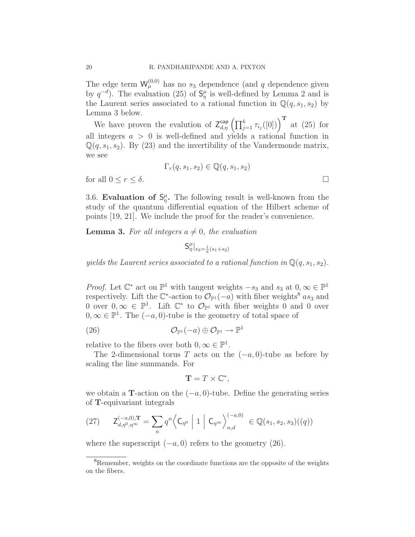The edge term  $W_{\mu}^{(0,0)}$  has no  $s_3$  dependence (and q dependence given by  $q^{-d}$ ). The evaluation (25) of  $S_{\eta}^{\mu}$  is well-defined by Lemma 2 and is the Laurent series associated to a rational function in  $\mathbb{Q}(q,s_1,s_2)$  by Lemma 3 below.

We have proven the evalution of  $Z_{d,\eta}^{\text{cap}}\left(\prod_{j=1}^{k} \tau_{i_j}([0])\right)^{\text{T}}$  at (25) for all integers  $a > 0$  is well-defined and yields a rational function in  $\mathbb{Q}(q,s_1,s_2)$ . By (23) and the invertibility of the Vandermonde matrix, we see

$$
\Gamma_r(q, s_1, s_2) \in \mathbb{Q}(q, s_1, s_2)
$$
  
for all  $0 \le r \le \delta$ .

3.6. Evaluation of  $S_{\eta}^{\mu}$ . The following result is well-known from the study of the quantum differential equation of the Hilbert scheme of points [19, 21]. We include the proof for the reader's convenience.

**Lemma 3.** For all integers  $a \neq 0$ , the evaluation

$$
S^\mu_\eta|_{s_3=\frac{1}{a}(s_1+s_2)}
$$

yields the Laurent series associated to a rational function in  $\mathbb{Q}(q,s_1,s_2)$ .

*Proof.* Let  $\mathbb{C}^*$  act on  $\mathbb{P}^1$  with tangent weights  $-s_3$  and  $s_3$  at  $0, \infty \in \mathbb{P}^1$ respectively. Lift the  $\mathbb{C}^*$ -action to  $\mathcal{O}_{\mathbb{P}^1}(-a)$  with fiber weights<sup>8</sup> as<sub>3</sub> and 0 over  $0, \infty \in \mathbb{P}^1$ . Lift  $\mathbb{C}^*$  to  $\mathcal{O}_{\mathbb{P}^1}$  with fiber weights 0 and 0 over  $0, \infty \in \mathbb{P}^1$ . The  $(-a, 0)$ -tube is the geometry of total space of

(26) 
$$
\mathcal{O}_{\mathbb{P}^1}(-a) \oplus \mathcal{O}_{\mathbb{P}^1} \to \mathbb{P}^1
$$

relative to the fibers over both  $0, \infty \in \mathbb{P}^1$ .

The 2-dimensional torus T acts on the  $(-a, 0)$ -tube as before by scaling the line summands. For

$$
\mathbf{T} = T \times \mathbb{C}^*,
$$

we obtain a T-action on the  $(-a, 0)$ -tube. Define the generating series of T-equivariant integrals

$$
(27) \qquad \mathsf{Z}_{d,\eta^{0},\eta^{\infty}}^{(-a,0),\mathbf{T}} = \sum_{n} q^{n} \left\langle \mathsf{C}_{\eta^{0}} \; \middle| \; 1 \; \middle| \; \mathsf{C}_{\eta^{\infty}} \right\rangle_{n,d}^{(-a,0)} \in \mathbb{Q}(s_{1}, s_{2}, s_{3})((q))
$$

where the superscript  $(-a, 0)$  refers to the geometry (26).

<sup>&</sup>lt;sup>8</sup>Remember, weights on the coordinate functions are the opposite of the weights on the fibers.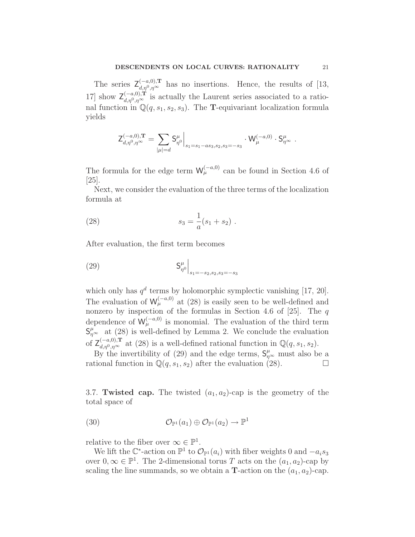The series  $\mathsf{Z}_{d,\eta^0,\eta^\infty}^{(-a,0),\mathbf{T}}$  has no insertions. Hence, the results of [13, 17] show  $\mathsf{Z}_{d,\eta^0,\eta^{\infty}}^{(-a,0),\mathbf{T}}$  is actually the Laurent series associated to a rational function in  $\mathbb{Q}(q,s_1,s_2,s_3)$ . The **T**-equivariant localization formula yields

$$
\mathsf{Z}^{(-a,0),{\bf T}}_{d,\eta^0,\eta^{\infty}}=\sum_{|\mu|=d}\mathsf{S}^{\mu}_{\eta^0}\Big|_{s_1=s_1-as_3,s_2,s_3=-s_3}\cdot\mathsf{W}^{(-a,0)}_{\mu}\cdot\mathsf{S}^{\mu}_{\eta^{\infty}}\ .
$$

The formula for the edge term  $W_{\mu}^{(-a,0)}$  can be found in Section 4.6 of [25].

Next, we consider the evaluation of the three terms of the localization formula at

(28) 
$$
s_3 = \frac{1}{a}(s_1 + s_2).
$$

After evaluation, the first term becomes

(29) 
$$
\left. S^{\mu}_{\eta^0} \right|_{s_1 = -s_2, s_2, s_3 = -s_3}
$$

which only has  $q^d$  terms by holomorphic symplectic vanishing [17, 20]. The evaluation of  $W^{(-a,0)}_{\mu}$  at (28) is easily seen to be well-defined and nonzero by inspection of the formulas in Section 4.6 of [25]. The  $q$ dependence of  $W_{\mu}^{(-a,0)}$  is monomial. The evaluation of the third term  $S_{\eta^{\infty}}^{\mu}$  at (28) is well-defined by Lemma 2. We conclude the evaluation of  $Z_{d,p^0,p^\infty}^{(-a,0),\mathbf{T}}$  at (28) is a well-defined rational function in  $\mathbb{Q}(q,s_1,s_2)$ .

By the invertibility of (29) and the edge terms,  $S_{\eta^{\infty}}^{\mu}$  must also be a rational function in  $\mathbb{Q}(q,s_1,s_2)$  after the evaluation (28).

3.7. Twisted cap. The twisted  $(a_1, a_2)$ -cap is the geometry of the total space of

(30) 
$$
\mathcal{O}_{\mathbb{P}^1}(a_1) \oplus \mathcal{O}_{\mathbb{P}^1}(a_2) \to \mathbb{P}^1
$$

relative to the fiber over  $\infty \in \mathbb{P}^1$ .

We lift the  $\mathbb{C}^*$ -action on  $\mathbb{P}^1$  to  $\mathcal{O}_{\mathbb{P}^1}(a_i)$  with fiber weights 0 and  $-a_is_3$ over  $0, \infty \in \mathbb{P}^1$ . The 2-dimensional torus T acts on the  $(a_1, a_2)$ -cap by scaling the line summands, so we obtain a **T**-action on the  $(a_1, a_2)$ -cap.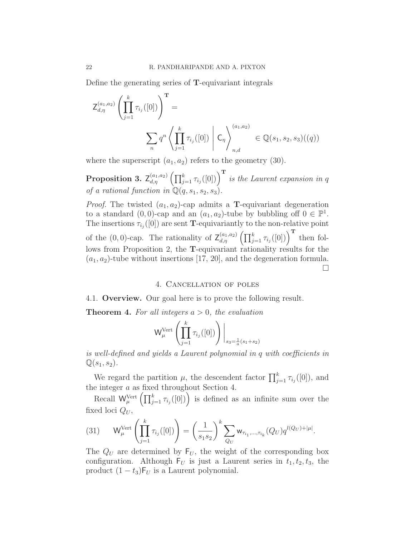Define the generating series of T-equivariant integrals

$$
Z_{d,\eta}^{(a_1,a_2)} \left( \prod_{j=1}^k \tau_{i_j}([0]) \right)^{\mathbf{T}} =
$$
  

$$
\sum_n q^n \left\langle \prod_{j=1}^k \tau_{i_j}([0]) \mid C_\eta \right\rangle_{n,d}^{(a_1,a_2)} \in \mathbb{Q}(s_1, s_2, s_3)((q))
$$

where the superscript  $(a_1, a_2)$  refers to the geometry (30).

**Proposition 3.**  $Z_{d,\eta}^{(a_1,a_2)} (\prod_{j=1}^k \tau_{i_j}([0]))^{\mathrm{T}}$  is the Laurent expansion in q of a rational function in  $\mathbb{Q}(q,s_1,s_2,s_3)$ .

*Proof.* The twisted  $(a_1, a_2)$ -cap admits a **T**-equivariant degeneration to a standard  $(0,0)$ -cap and an  $(a_1, a_2)$ -tube by bubbling off  $0 \in \mathbb{P}^1$ . The insertions  $\tau_{i_j}([0])$  are sent **T**-equivariantly to the non-relative point of the  $(0,0)$ -cap. The rationality of  $\mathsf{Z}_{d,\eta}^{(a_1,a_2)}\left(\prod_{j=1}^k \tau_{i_j}([0])\right)^{\mathbf{T}}$  then follows from Proposition 2, the T-equivariant rationality results for the  $(a_1, a_2)$ -tube without insertions [17, 20], and the degeneration formula. ¤

# 4. Cancellation of poles

4.1. Overview. Our goal here is to prove the following result.

**Theorem 4.** For all integers  $a > 0$ , the evaluation

$$
\mathsf{W}_{\mu}^{\mathsf{Vert}}\left(\prod_{j=1}^{k} \tau_{i_j}([0])\right)\bigg|_{s_3=\frac{1}{a}(s_1+s_2)}
$$

is well-defined and yields a Laurent polynomial in q with coefficients in  $\mathbb{Q}(s_1,s_2)$ .

We regard the partition  $\mu$ , the descendent factor  $\prod_{j=1}^{k} \tau_{i_j}([0])$ , and the integer a as fixed throughout Section 4.

Recall  $\mathsf{W}^{\text{Vert}}_{\mu} \left( \prod_{j=1}^{k} \tau_{i_j}([0]) \right)$  is defined as an infinite sum over the fixed loci  $Q_U$ ,

(31) 
$$
W_{\mu}^{\text{Vert}} \left( \prod_{j=1}^{k} \tau_{i_j}([0]) \right) = \left( \frac{1}{s_1 s_2} \right)^k \sum_{Q_U} w_{\tau_{i_1}, \dots, \tau_{i_k}}(Q_U) q^{l(Q_U) + |\mu|}.
$$

The  $Q_U$  are determined by  $F_U$ , the weight of the corresponding box configuration. Although  $F_U$  is just a Laurent series in  $t_1, t_2, t_3$ , the product  $(1-t_3)F_U$  is a Laurent polynomial.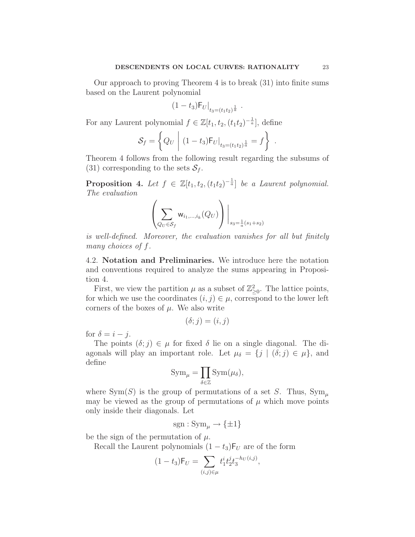Our approach to proving Theorem 4 is to break (31) into finite sums based on the Laurent polynomial

$$
(1-t_3)F_U|_{t_3=(t_1t_2)^{\frac{1}{a}}}.
$$

For any Laurent polynomial  $f \in \mathbb{Z}[t_1, t_2, (t_1t_2)^{-\frac{1}{a}}]$ , define

$$
S_f = \left\{ Q_U \mid (1 - t_3) F_U \big|_{t_3 = (t_1 t_2)^{\frac{1}{a}}} = f \right\} .
$$

Theorem 4 follows from the following result regarding the subsums of (31) corresponding to the sets  $S_f$ .

**Proposition 4.** Let  $f \in \mathbb{Z}[t_1, t_2, (t_1t_2)^{-\frac{1}{a}}]$  be a Laurent polynomial. The evaluation

$$
\left(\sum_{Q_U\in\mathcal{S}_f}\mathsf{w}_{i_1,\ldots,i_k}(Q_U)\right)\bigg|_{s_3=\frac{1}{a}(s_1+s_2)}
$$

is well-defined. Moreover, the evaluation vanishes for all but finitely many choices of f.

4.2. Notation and Preliminaries. We introduce here the notation and conventions required to analyze the sums appearing in Proposition 4.

First, we view the partition  $\mu$  as a subset of  $\mathbb{Z}_{\geq 0}^2$ . The lattice points, for which we use the coordinates  $(i, j) \in \mu$ , correspond to the lower left corners of the boxes of  $\mu$ . We also write

$$
(\delta;j) = (i,j)
$$

for  $\delta = i - j$ .

The points  $(\delta; j) \in \mu$  for fixed  $\delta$  lie on a single diagonal. The diagonals will play an important role. Let  $\mu_{\delta} = \{j \mid (\delta; j) \in \mu\}$ , and define

$$
\mathrm{Sym}_{\mu} = \prod_{\delta \in \mathbb{Z}} \mathrm{Sym}(\mu_{\delta}),
$$

where Sym(S) is the group of permutations of a set S. Thus,  $Sym_{\mu}$ may be viewed as the group of permutations of  $\mu$  which move points only inside their diagonals. Let

$$
sgn:Sym_{\mu} \to {\{\pm 1\}}
$$

be the sign of the permutation of  $\mu$ .

Recall the Laurent polynomials  $(1-t_3)F_U$  are of the form

$$
(1-t_3)\mathsf{F}_U = \sum_{(i,j)\in\mu} t_1^i t_2^j t_3^{-h_U(i,j)},
$$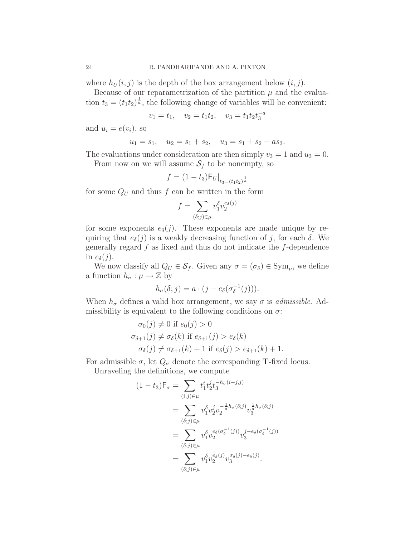where  $h_U(i,j)$  is the depth of the box arrangement below  $(i,j)$ .

Because of our reparametrization of the partition  $\mu$  and the evaluation  $t_3 = (t_1 t_2)^{\frac{1}{a}}$ , the following change of variables will be convenient:

$$
v_1 = t_1
$$
,  $v_2 = t_1 t_2$ ,  $v_3 = t_1 t_2 t_3^{-a}$ 

and  $u_i = e(v_i)$ , so

$$
u_1 = s_1
$$
,  $u_2 = s_1 + s_2$ ,  $u_3 = s_1 + s_2 - as_3$ .

The evaluations under consideration are then simply  $v_3 = 1$  and  $u_3 = 0$ .

From now on we will assume  $S_f$  to be nonempty, so

$$
f = (1 - t_3) \mathsf{F}_U \big|_{t_3 = (t_1 t_2)^{\frac{1}{a}}}
$$

for some  $Q_U$  and thus f can be written in the form

$$
f = \sum_{(\delta;j)\in\mu} v_1^{\delta}v_2^{e_{\delta}(j)}
$$

for some exponents  $e_{\delta}(j)$ . These exponents are made unique by requiring that  $e_{\delta}(j)$  is a weakly decreasing function of j, for each  $\delta$ . We generally regard  $f$  as fixed and thus do not indicate the  $f$ -dependence in  $e_{\delta}(j)$ .

We now classify all  $Q_U \in \mathcal{S}_f$ . Given any  $\sigma = (\sigma_\delta) \in \text{Sym}_{\mu}$ , we define a function  $h_{\sigma} : \mu \to \mathbb{Z}$  by

$$
h_{\sigma}(\delta; j) = a \cdot (j - e_{\delta}(\sigma_{\delta}^{-1}(j))).
$$

When  $h_{\sigma}$  defines a valid box arrangement, we say  $\sigma$  is *admissible*. Admissibility is equivalent to the following conditions on  $\sigma$ :

$$
\sigma_0(j) \neq 0 \text{ if } e_0(j) > 0
$$
  
\n
$$
\sigma_{\delta+1}(j) \neq \sigma_{\delta}(k) \text{ if } e_{\delta+1}(j) > e_{\delta}(k)
$$
  
\n
$$
\sigma_{\delta}(j) \neq \sigma_{\delta+1}(k) + 1 \text{ if } e_{\delta}(j) > e_{\delta+1}(k) + 1.
$$

For admissible  $\sigma$ , let  $Q_{\sigma}$  denote the corresponding **T**-fixed locus.

Unraveling the definitions, we compute

$$
(1-t_3)\mathsf{F}_{\sigma} = \sum_{(i,j)\in\mu} t_1^i t_2^j t_3^{-h_{\sigma}(i-j,j)}
$$
  
\n
$$
= \sum_{(\delta;j)\in\mu} v_1^{\delta} v_2^j v_2^{-\frac{1}{a}h_{\sigma}(\delta;j)} v_3^{\frac{1}{a}h_{\sigma}(\delta;j)}
$$
  
\n
$$
= \sum_{(\delta;j)\in\mu} v_1^{\delta} v_2^{e_{\delta}(\sigma_{\delta}^{-1}(j))} v_3^{j-e_{\delta}(\sigma_{\delta}^{-1}(j))}
$$
  
\n
$$
= \sum_{(\delta;j)\in\mu} v_1^{\delta} v_2^{e_{\delta}(j)} v_3^{\sigma_{\delta}(j)-e_{\delta}(j)}.
$$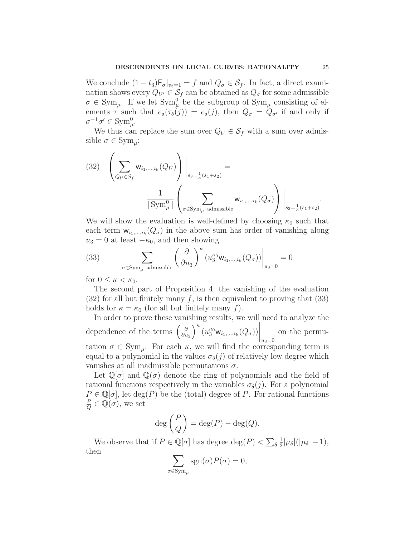We conclude  $(1-t_3)\mathsf{F}_{\sigma}|_{v_3=1} = f$  and  $Q_{\sigma} \in \mathcal{S}_f$ . In fact, a direct examination shows every  $Q_{U'} \in \mathcal{S}_f$  can be obtained as  $Q_{\sigma}$  for some admissible  $\sigma \in \mathrm{Sym}_{\mu}$ . If we let  $\mathrm{Sym}_{\mu}^0$  be the subgroup of  $\mathrm{Sym}_{\mu}$  consisting of elements  $\tau$  such that  $e_{\delta}(\tau_{\delta}(j)) = e_{\delta}(j)$ , then  $Q_{\sigma} = Q_{\sigma'}$  if and only if  $\sigma^{-1}\sigma' \in \mathrm{Sym}_{\mu}^0.$ 

We thus can replace the sum over  $Q_U \in \mathcal{S}_f$  with a sum over admissible  $\sigma \in \mathrm{Sym}_{\mu}:$ 

(32) 
$$
\left(\sum_{Q_U \in S_f} \mathsf{w}_{i_1,\dots,i_k}(Q_U)\right)\Big|_{s_3=\frac{1}{a}(s_1+s_2)} = \frac{1}{|\operatorname{Sym}_{\mu}^0|} \left(\sum_{\sigma \in \operatorname{Sym}_{\mu} \text{ admissible}} \mathsf{w}_{i_1,\dots,i_k}(Q_{\sigma})\right)\Big|_{s_3=\frac{1}{a}(s_1+s_2)}.
$$

We will show the evaluation is well-defined by choosing  $\kappa_0$  such that each term  $w_{i_1,\dots,i_k}(Q_{\sigma})$  in the above sum has order of vanishing along  $u_3 = 0$  at least  $-\kappa_0$ , and then showing

(33) 
$$
\sum_{\sigma \in \text{Sym}_{\mu} \text{ admissible}} \left( \frac{\partial}{\partial u_3} \right)^{\kappa} \left( u_3^{\kappa_0} \mathbf{w}_{i_1, \dots, i_k}(Q_{\sigma}) \right) \Big|_{u_3 = 0} = 0
$$

for  $0 \leq \kappa < \kappa_0$ .

The second part of Proposition 4, the vanishing of the evaluation  $(32)$  for all but finitely many f, is then equivalent to proving that  $(33)$ holds for  $\kappa = \kappa_0$  (for all but finitely many f).

In order to prove these vanishing results, we will need to analyze the dependence of the terms  $\left(\frac{\partial}{\partial u}\right)^2$  $\partial u_3$  $\int^{\kappa} \left( u_3^{\kappa_0} \mathsf{w}_{i_1,\dots,i_k}(Q_{\sigma}) \right)$  $\bigg|_{u_3=0}$ on the permutation  $\sigma \in \text{Sym}_{\mu}$ . For each  $\kappa$ , we will find the corresponding term is equal to a polynomial in the values  $\sigma_{\delta}(j)$  of relatively low degree which

vanishes at all inadmissible permutations  $\sigma$ . Let  $\mathbb{Q}[\sigma]$  and  $\mathbb{Q}(\sigma)$  denote the ring of polynomials and the field of rational functions respectively in the variables  $\sigma_{\delta}(j)$ . For a polynomial  $P \in \mathbb{Q}[\sigma]$ , let  $\deg(P)$  be the (total) degree of P. For rational functions P  $\frac{P}{Q} \in \mathbb{Q}(\sigma)$ , we set

$$
\deg\left(\frac{P}{Q}\right) = \deg(P) - \deg(Q).
$$

We observe that if  $P \in \mathbb{Q}[\sigma]$  has degree  $\deg(P) < \sum_{\delta}$ 1  $\frac{1}{2}|\mu_{\delta}|(|\mu_{\delta}|-1),$ then

$$
\sum_{\sigma \in \text{Sym}_{\mu}} \text{sgn}(\sigma) P(\sigma) = 0,
$$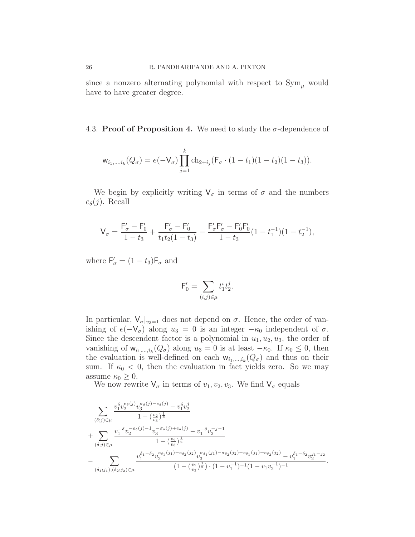4.3. Proof of Proposition 4. We need to study the  $\sigma$ -dependence of

$$
\mathsf{w}_{i_1,\ldots,i_k}(Q_{\sigma})=e(-\mathsf{V}_{\sigma})\prod_{j=1}^k \mathrm{ch}_{2+i_j}(\mathsf{F}_{\sigma}\cdot(1-t_1)(1-t_2)(1-t_3)).
$$

We begin by explicitly writing  $V_{\sigma}$  in terms of  $\sigma$  and the numbers  $e_{\delta}(j)$ . Recall

$$
\mathsf{V}_{\sigma}=\frac{\mathsf{F}_{\sigma}'-\mathsf{F}_{0}'}{1-t_{3}}+\frac{\overline{\mathsf{F}_{\sigma}'}-\overline{\mathsf{F}_{0}'}}{t_{1}t_{2}(1-t_{3})}-\frac{\mathsf{F}_{\sigma}'\overline{\mathsf{F}_{\sigma}'}-\mathsf{F}_{0}'\overline{\mathsf{F}_{0}'}}{1-t_{3}}(1-t_{1}^{-1})(1-t_{2}^{-1}),
$$

where  $\mathsf{F}'_{\sigma} = (1 - t_3)\mathsf{F}_{\sigma}$  and

$$
\mathsf{F}_0'=\sum_{(i,j)\in\mu}t_1^it_2^j.
$$

In particular,  $V_{\sigma}|_{v_3=1}$  does not depend on  $\sigma$ . Hence, the order of vanishing of  $e(-V_{\sigma})$  along  $u_3 = 0$  is an integer  $-\kappa_0$  independent of  $\sigma$ . Since the descendent factor is a polynomial in  $u_1, u_2, u_3$ , the order of vanishing of  $w_{i_1,...,i_k}(Q_{\sigma})$  along  $u_3 = 0$  is at least  $-\kappa_0$ . If  $\kappa_0 \leq 0$ , then the evaluation is well-defined on each  $w_{i_1,\dots,i_k}(Q_{\sigma})$  and thus on their sum. If  $\kappa_0 < 0$ , then the evaluation in fact yields zero. So we may assume  $\kappa_0 \geq 0$ .

We now rewrite  $\mathsf{V}_{\sigma}$  in terms of  $v_1, v_2, v_3$ . We find  $\mathsf{V}_{\sigma}$  equals

$$
\sum_{(\delta;j)\in\mu} \frac{v_1^{\delta}v_2^{e_{\delta}(j)}v_3^{\sigma_{\delta}(j)-e_{\delta}(j)}-v_1^{\delta}v_2^j}{1-\left(\frac{v_2}{v_3}\right)^{\frac{1}{a}}} \newline + \sum_{(\delta;j)\in\mu} \frac{v_1^{-\delta}v_2^{-e_{\delta}(j)-1}v_3^{-\sigma_{\delta}(j)+e_{\delta}(j)}-v_1^{-\delta}v_2^{-j-1}}{1-\left(\frac{v_2}{v_3}\right)^{\frac{1}{a}}} \newline - \sum_{(\delta_1;j_1), (\delta_2;j_2)\in\mu} \frac{v_1^{\delta_1-\delta_2}v_2^{e_{\delta_1}(j_1)-e_{\delta_2}(j_2)}v_3^{\sigma_{\delta_1}(j_1)-\sigma_{\delta_2}(j_2)-e_{\delta_1}(j_1)+e_{\delta_2}(j_2)}-v_1^{\delta_1-\delta_2}v_2^{j_1-j_2}}{\left(1-\left(\frac{v_2}{v_3}\right)^{\frac{1}{a}}\right)\cdot\left(1-v_1^{-1}\right)^{-1}\left(1-v_1v_2^{-1}\right)^{-1}}
$$

.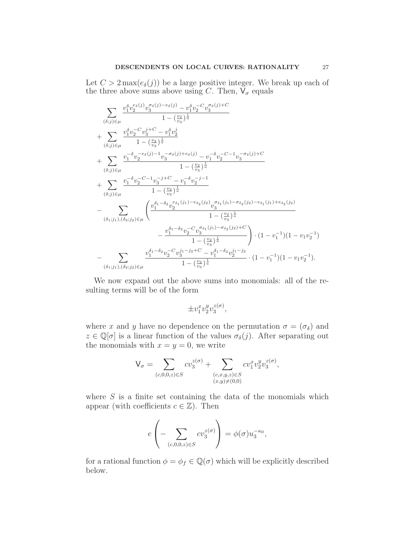Let  $C > 2 \max(e_{\delta}(j))$  be a large positive integer. We break up each of the three above sums above using C. Then,  $V_{\sigma}$  equals

$$
\sum_{(\delta;j)\in\mu} \frac{v_1^{\delta}v_2^{e_{\delta}(j)}v_3^{\sigma_{\delta}(j)-e_{\delta}(j)} - v_1^{\delta}v_2^{-C}v_3^{\sigma_{\delta}(j)+C}}{1 - (\frac{v_2}{v_3})^{\frac{1}{a}}} \\ + \sum_{(\delta;j)\in\mu} \frac{v_1^{\delta}v_2^{-C}v_3^{j+C} - v_1^{\delta}v_2^j}{1 - (\frac{v_2}{v_3})^{\frac{1}{a}}} \\ + \sum_{(\delta;j)\in\mu} \frac{v_1^{-\delta}v_2^{-e_{\delta}(j)-1}v_3^{-\sigma_{\delta}(j)+e_{\delta}(j)} - v_1^{-\delta}v_2^{-C-1}v_3^{-\sigma_{\delta}(j)+C}}{1 - (\frac{v_2}{v_3})^{\frac{1}{a}}} \\ + \sum_{(\delta;j)\in\mu} \frac{v_1^{-\delta}v_2^{-C-1}v_3^{-j+C} - v_1^{-\delta}v_2^{-j-1}}{1 - (\frac{v_2}{v_3})^{\frac{1}{a}}} \\ - \sum_{(\delta_1;j_1), (\delta_2;j_2)\in\mu} \left( \frac{v_1^{\delta_1-\delta_2}v_2^{e_{\delta_1}(j_1)-e_{\delta_2}(j_2)}v_3^{\sigma_{\delta_1}(j_1)-\sigma_{\delta_2}(j_2)-e_{\delta_1}(j_1)+e_{\delta_2}(j_2)}{1 - (\frac{v_2}{v_3})^{\frac{1}{a}}} \\ - \frac{v_1^{\delta_1-\delta_2}v_2^{-C}v_3^{\sigma_{\delta_1}(j_1)-\sigma_{\delta_2}(j_2)+C}}{1 - (\frac{v_2}{v_3})^{\frac{1}{a}}} \right) \cdot (1-v_1^{-1})(1-v_1v_2^{-1}) \\ - \sum_{(\delta_1;j_1), (\delta_2;j_2)\in\mu} \frac{v_1^{\delta_1-\delta_2}v_2^{-C}v_3^{j_1-j_2+C} - v_1^{\delta_1-\delta_2}v_2^{j_1-j_2}}{1 - (\frac{v_2}{v_3})^{\frac{1}{a}}} \cdot (1-v_1^{-1})(1-v_1v_2^{-1}).
$$

We now expand out the above sums into monomials: all of the resulting terms will be of the form

$$
\pm v_1^x v_2^y v_3^{z(\sigma)},
$$

where x and y have no dependence on the permutation  $\sigma = (\sigma_{\delta})$  and  $z \in \mathbb{Q}[\sigma]$  is a linear function of the values  $\sigma_{\delta}(j)$ . After separating out the monomials with  $x = y = 0$ , we write

$$
\mathsf{V}_{\sigma} = \sum_{(c,0,0,z) \in S} cv_3^{z(\sigma)} + \sum_{\substack{(c,x,y,z) \in S \\ (x,y) \neq (0,0)}} cv_1^{x}v_2^{y}v_3^{z(\sigma)},
$$

where  $S$  is a finite set containing the data of the monomials which appear (with coefficients  $c \in \mathbb{Z}$ ). Then

$$
e\left(-\sum_{(c,0,0,z)\in S} cv_3^{z(\sigma)}\right) = \phi(\sigma)u_3^{-\kappa_0},
$$

for a rational function  $\phi = \phi_f \in \mathbb{Q}(\sigma)$  which will be explicitly described below.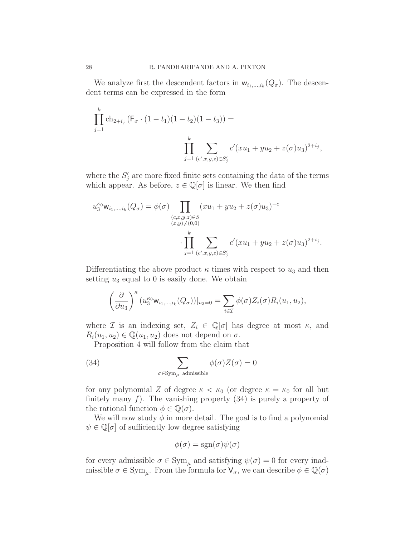We analyze first the descendent factors in  $w_{i_1,\dots,i_k}(Q_{\sigma})$ . The descendent terms can be expressed in the form

$$
\prod_{j=1}^{k} \text{ch}_{2+i_j} \left( F_{\sigma} \cdot (1-t_1)(1-t_2)(1-t_3) \right) =
$$
\n
$$
\prod_{j=1}^{k} \sum_{(c',x,y,z) \in S'_j} c'(xu_1 + yu_2 + z(\sigma)u_3)^{2+i_j},
$$

where the  $S'_{j}$  are more fixed finite sets containing the data of the terms which appear. As before,  $z \in \mathbb{Q}[\sigma]$  is linear. We then find

$$
u_3^{\kappa_0} \mathsf{w}_{i_1,\dots,i_k}(Q_{\sigma}) = \phi(\sigma) \prod_{\substack{(c,x,y,z) \in S \\ (x,y) \neq (0,0)}} (xu_1 + yu_2 + z(\sigma)u_3)^{-c}
$$

$$
\cdot \prod_{j=1}^k \sum_{(c',x,y,z) \in S'_j} c'(xu_1 + yu_2 + z(\sigma)u_3)^{2+i_j}.
$$

Differentiating the above product  $\kappa$  times with respect to  $u_3$  and then setting  $u_3$  equal to 0 is easily done. We obtain

$$
\left(\frac{\partial}{\partial u_3}\right)^{\kappa} (u_3^{\kappa_0} \mathsf{w}_{i_1,\ldots,i_k}(Q_{\sigma}))|_{u_3=0} = \sum_{i\in\mathcal{I}} \phi(\sigma) Z_i(\sigma) R_i(u_1,u_2),
$$

where I is an indexing set,  $Z_i \in \mathbb{Q}[\sigma]$  has degree at most  $\kappa$ , and  $R_i(u_1, u_2) \in \mathbb{Q}(u_1, u_2)$  does not depend on  $\sigma$ .

Proposition 4 will follow from the claim that

(34) 
$$
\sum_{\sigma \in \text{Sym}_{\mu} \text{ admissible}} \phi(\sigma) Z(\sigma) = 0
$$

for any polynomial Z of degree  $\kappa < \kappa_0$  (or degree  $\kappa = \kappa_0$  for all but finitely many  $f$ ). The vanishing property  $(34)$  is purely a property of the rational function  $\phi \in \mathbb{Q}(\sigma)$ .

We will now study  $\phi$  in more detail. The goal is to find a polynomial  $\psi \in \mathbb{Q}[\sigma]$  of sufficiently low degree satisfying

$$
\phi(\sigma) = \text{sgn}(\sigma)\psi(\sigma)
$$

for every admissible  $\sigma \in \text{Sym}_{\mu}$  and satisfying  $\psi(\sigma) = 0$  for every inadmissible  $\sigma \in \text{Sym}_{\mu}$ . From the formula for  $\mathsf{V}_{\sigma}$ , we can describe  $\phi \in \mathbb{Q}(\sigma)$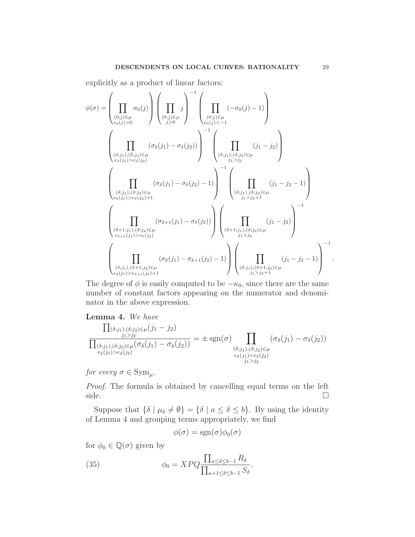explicitly as a product of linear factors:

$$
\phi(\sigma) = \left(\prod_{\substack{(0;j) \in \mu \ (0;j) > 0}} \sigma_0(j)\right) \left(\prod_{\substack{(0;j) \in \mu \ (0;j) > 0}} j\right)^{-1} \left(\prod_{\substack{(0;j) \in \mu \ (0;j) < -1}} (-\sigma_0(j) - 1)\right)
$$
\n
$$
\left(\prod_{\substack{(b;j_1),(b;j_2) \in \mu \ (b*(j_1) > 0;\delta(j_2) > 0}} (\sigma_\delta(j_1) - \sigma_\delta(j_2))\right)^{-1} \left(\prod_{\substack{(b;j_1),(b;j_2) \in \mu \ (0;j_1) > 0;\delta(j_2) \in \mu \ (0;j_1) > 0;\delta(j_2) \in \mu}} (j_1 - j_2)\right)
$$
\n
$$
\left(\prod_{\substack{(b;j_1),(b;j_2) \in \mu \ (0;\delta(j_1) > 0;\delta(j_2) + 1}} (\sigma_\delta(j_1) - \sigma_\delta(j_2) - 1)\right)^{-1} \left(\prod_{\substack{(b;j_1),(b;j_2) \in \mu \ (0;j_1) > 0;\delta(j_2) \in \mu \ (0;j_1) > 0;\delta(j_2) \in \mu}} (j_1 - j_2 - 1)\right)
$$
\n
$$
\left(\prod_{\substack{(b+1;j_1),(b;j_2) \in \mu \ (0;\delta(j_1) > 0;\delta(j_2) \in \mu \ (0;\delta(j_1) > 0;\delta(j_2) \in \mu \ (0;\delta(j_1) > 0;\delta(j_2) \in \mu)}} (\sigma_\delta(j_1) - \sigma_{\delta+1}(j_2) - 1)\right) \left(\prod_{\substack{(b;j_1),(b+1;j_2) \in \mu \ (0;\delta(j_1) > 0;\delta(j_1) \in \mu \ (0;\delta(j_1) > 0;\delta(j_1) \in \mu)}} (j_1 - j_2 - 1)\right)^{-1}
$$

The degree of  $\phi$  is easily computed to be  $-\kappa_0$ , since there are the same number of constant factors appearing on the numerator and denominator in the above expression.

**Lemma 4.** We have\n
$$
\Pi_{(\delta;j_1),(\delta;j_2)\in\mu}(j_1-j_2)
$$
\n
$$
\frac{j_1>j_2}{\prod_{\substack{\delta;j_1,\delta;j_2\rbrace\in\mu(\sigma_\delta(j_1)-\sigma_\delta(j_2))}{\sigma_\delta(j_2)}}=\pm \operatorname{sgn}(\sigma) \prod_{\substack{\delta;j_1,\delta;j_2\rbrace\in\mu(\sigma_\delta(j_1)-\sigma_\delta(j_2))}{\sigma_\delta(j_1)=\sigma_\delta(j_2)\sigma_\delta(j_2)}}\left(\sigma_\delta(j_1)-\sigma_\delta(j_2)\right)
$$

for every  $\sigma \in \mathrm{Sym}_{\mu}$ .

Proof. The formula is obtained by cancelling equal terms on the left  $side.$ 

Suppose that  $\{\delta \mid \mu_{\delta} \neq \emptyset\} = \{\delta \mid a \leq \delta \leq b\}$ . By using the identity of Lemma 4 and grouping terms appropriately, we find

$$
\phi(\sigma) = \text{sgn}(\sigma)\phi_0(\sigma)
$$

for  $\phi_0 \in \mathbb{Q}(\sigma)$  given by

(35) 
$$
\phi_0 = XPQ \frac{\prod_{a \le \delta \le b-1} R_{\delta}}{\prod_{a+1 \le \delta \le b-1} S_{\delta}},
$$

.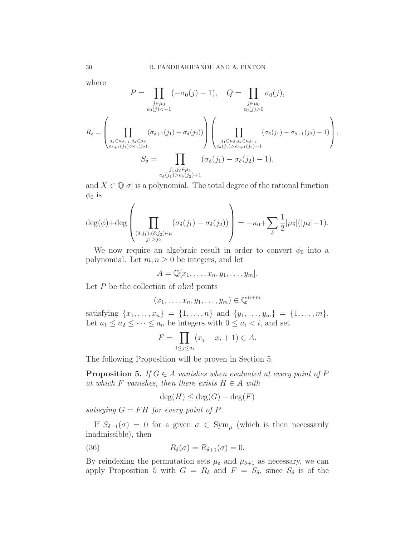where

$$
P = \prod_{\substack{j \in \mu_0 \\ e_0(j) < -1}} (-\sigma_0(j) - 1), \quad Q = \prod_{\substack{j \in \mu_0 \\ e_0(j) > 0}} \sigma_0(j),
$$
\n
$$
R_{\delta} = \left( \prod_{\substack{j_1 \in \mu_{\delta+1}, j_2 \in \mu_{\delta} \\ e_{\delta+1}(j_1) > e_{\delta}(j_2)}} (\sigma_{\delta+1}(j_1) - \sigma_{\delta}(j_2)) \right) \left( \prod_{\substack{j_1 \in \mu_{\delta}, j_2 \in \mu_{\delta+1} \\ e_{\delta}(j_1) > e_{\delta+1}(j_2) + 1}} (\sigma_{\delta}(j_1) - \sigma_{\delta+1}(j_2) - 1) \right),
$$
\n
$$
S_{\delta} = \prod_{\substack{j_1, j_2 \in \mu_{\delta} \\ e_{\delta}(j_1) > e_{\delta}(j_2) + 1}} (\sigma_{\delta}(j_1) - \sigma_{\delta}(j_2) - 1),
$$

and  $X \in \mathbb{Q}[\sigma]$  is a polynomial. The total degree of the rational function  $\phi_0$  is

$$
\deg(\phi) + \deg\left(\prod_{\substack{(\delta;j_1),(\delta;j_2)\in\mu\\j_1>j_2}}(\sigma_\delta(j_1)-\sigma_\delta(j_2))\right) = -\kappa_0 + \sum_{\delta}\frac{1}{2}|\mu_\delta|(|\mu_\delta|-1).
$$

We now require an algebraic result in order to convert  $\phi_0$  into a polynomial. Let  $m, n \geq 0$  be integers, and let

$$
A=\mathbb{Q}[x_1,\ldots,x_n,y_1,\ldots,y_m].
$$

Let  $P$  be the collection of  $n!m!$  points

 $(x_1, \ldots, x_n, y_1, \ldots, y_m) \in \mathbb{Q}^{n+m}$ 

satisfying  $\{x_1, \ldots, x_n\} = \{1, \ldots, n\}$  and  $\{y_1, \ldots, y_m\} = \{1, \ldots, m\}.$ Let  $a_1 \leq a_2 \leq \cdots \leq a_n$  be integers with  $0 \leq a_i \leq i$ , and set

$$
F = \prod_{1 \le j \le a_i} (x_j - x_i + 1) \in A.
$$

The following Proposition will be proven in Section 5.

**Proposition 5.** If  $G \in A$  vanishes when evaluated at every point of P at which F vanishes, then there exists  $H \in A$  with

$$
\deg(H) \le \deg(G) - \deg(F)
$$

satisying  $G = FH$  for every point of P.

If  $S_{\delta+1}(\sigma) = 0$  for a given  $\sigma \in \text{Sym}_{\mu}$  (which is then necessarily inadmissible), then

(36) 
$$
R_{\delta}(\sigma) = R_{\delta+1}(\sigma) = 0.
$$

By reindexing the permutation sets  $\mu_{\delta}$  and  $\mu_{\delta+1}$  as necessary, we can apply Proposition 5 with  $G = R_{\delta}$  and  $F = S_{\delta}$ , since  $S_{\delta}$  is of the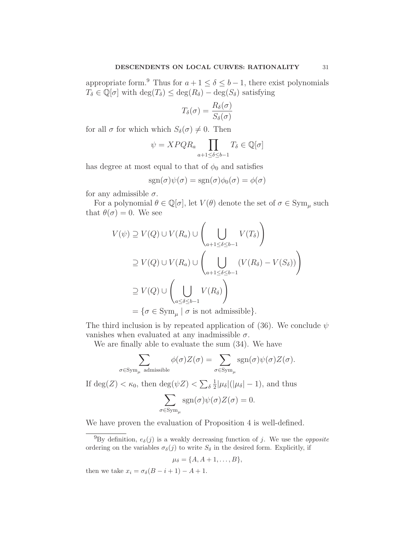appropriate form.<sup>9</sup> Thus for  $a + 1 \le \delta \le b - 1$ , there exist polynomials  $T_{\delta} \in \mathbb{Q}[\sigma]$  with  $\deg(T_{\delta}) \leq \deg(R_{\delta}) - \deg(S_{\delta})$  satisfying

$$
T_{\delta}(\sigma) = \frac{R_{\delta}(\sigma)}{S_{\delta}(\sigma)}
$$

for all  $\sigma$  for which which  $S_{\delta}(\sigma) \neq 0$ . Then

$$
\psi = XPQR_a \prod_{a+1 \le \delta \le b-1} T_{\delta} \in \mathbb{Q}[\sigma]
$$

has degree at most equal to that of  $\phi_0$  and satisfies

$$
sgn(\sigma)\psi(\sigma) = sgn(\sigma)\phi_0(\sigma) = \phi(\sigma)
$$

for any admissible  $\sigma$ .

For a polynomial  $\theta \in \mathbb{Q}[\sigma]$ , let  $V(\theta)$  denote the set of  $\sigma \in \mathrm{Sym}_{\mu}$  such that  $\theta(\sigma) = 0$ . We see

$$
V(\psi) \supseteq V(Q) \cup V(R_a) \cup \left(\bigcup_{a+1 \leq \delta \leq b-1} V(T_{\delta})\right)
$$
  
\n
$$
\supseteq V(Q) \cup V(R_a) \cup \left(\bigcup_{a+1 \leq \delta \leq b-1} (V(R_{\delta}) - V(S_{\delta}))\right)
$$
  
\n
$$
\supseteq V(Q) \cup \left(\bigcup_{a \leq \delta \leq b-1} V(R_{\delta})\right)
$$
  
\n
$$
= \{\sigma \in \text{Sym}_{\mu} \mid \sigma \text{ is not admissible}\}.
$$

The third inclusion is by repeated application of (36). We conclude  $\psi$ vanishes when evaluated at any inadmissible  $\sigma$ .

We are finally able to evaluate the sum (34). We have

$$
\sum_{\substack{\sigma \in \text{Sym}_{\mu} \text{ admissible} \\ \text{If } \deg(Z) < \kappa_0, \text{ then } \deg(\psi Z) < \sum_{\delta} \frac{1}{2} |\mu_{\delta}| (|\mu_{\delta}| - 1), \text{ and thus} \\ \sum_{\substack{\sigma \in \text{Sym}_{\mu} \\ \sigma \in \text{Sym}_{\mu} }} \text{sgn}(\sigma) \psi(\sigma) Z(\sigma) = 0.
$$

We have proven the evaluation of Proposition 4 is well-defined.

$$
\mu_{\delta} = \{A, A+1, \ldots, B\},\
$$

then we take  $x_i = \sigma_{\delta}(B - i + 1) - A + 1$ .

<sup>&</sup>lt;sup>9</sup>By definition,  $e_{\delta}(j)$  is a weakly decreasing function of j. We use the *opposite* ordering on the variables  $\sigma_{\delta}(j)$  to write  $S_{\delta}$  in the desired form. Explicitly, if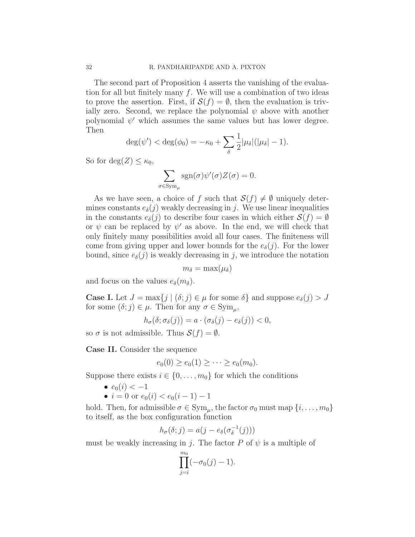The second part of Proposition 4 asserts the vanishing of the evaluation for all but finitely many  $f$ . We will use a combination of two ideas to prove the assertion. First, if  $\mathcal{S}(f) = \emptyset$ , then the evaluation is trivially zero. Second, we replace the polynomial  $\psi$  above with another polynomial  $\psi'$  which assumes the same values but has lower degree. Then

$$
\deg(\psi') < \deg(\phi_0) = -\kappa_0 + \sum_{\delta} \frac{1}{2} |\mu_{\delta}| (|\mu_{\delta}| - 1).
$$

So for deg( $Z$ ) <  $\kappa_0$ ,

$$
\sum_{\sigma \in \text{Sym}_{\mu}} \text{sgn}(\sigma) \psi'(\sigma) Z(\sigma) = 0.
$$

As we have seen, a choice of f such that  $\mathcal{S}(f) \neq \emptyset$  uniquely determines constants  $e_{\delta}(j)$  weakly decreasing in j. We use linear inequalities in the constants  $e_{\delta}(j)$  to describe four cases in which either  $\mathcal{S}(f) = \emptyset$ or  $\psi$  can be replaced by  $\psi'$  as above. In the end, we will check that only finitely many possibilities avoid all four cases. The finiteness will come from giving upper and lower bounds for the  $e_{\delta}(j)$ . For the lower bound, since  $e_{\delta}(j)$  is weakly decreasing in j, we introduce the notation

$$
m_{\delta} = \max(\mu_{\delta})
$$

and focus on the values  $e_{\delta}(m_{\delta}).$ 

**Case I.** Let  $J = \max\{j \mid (\delta; j) \in \mu \text{ for some } \delta\}$  and suppose  $e_{\delta}(j) > J$ for some  $(\delta; j) \in \mu$ . Then for any  $\sigma \in \mathrm{Sym}_{\mu}$ ,

$$
h_{\sigma}(\delta; \sigma_{\delta}(j)) = a \cdot (\sigma_{\delta}(j) - e_{\delta}(j)) < 0,
$$

so  $\sigma$  is not admissible. Thus  $\mathcal{S}(f) = \emptyset$ .

Case II. Consider the sequence

$$
e_0(0) \ge e_0(1) \ge \cdots \ge e_0(m_0).
$$

Suppose there exists  $i \in \{0, \ldots, m_0\}$  for which the conditions

- $e_0(i) < -1$
- $i = 0$  or  $e_0(i) < e_0(i-1) 1$

hold. Then, for admissible  $\sigma \in \text{Sym}_{\mu}$ , the factor  $\sigma_0$  must map  $\{i, \ldots, m_0\}$ to itself, as the box configuration function

$$
h_{\sigma}(\delta; j) = a(j - e_{\delta}(\sigma_{\delta}^{-1}(j)))
$$

must be weakly increasing in j. The factor P of  $\psi$  is a multiple of

$$
\prod_{j=i}^{m_0} (-\sigma_0(j)-1).
$$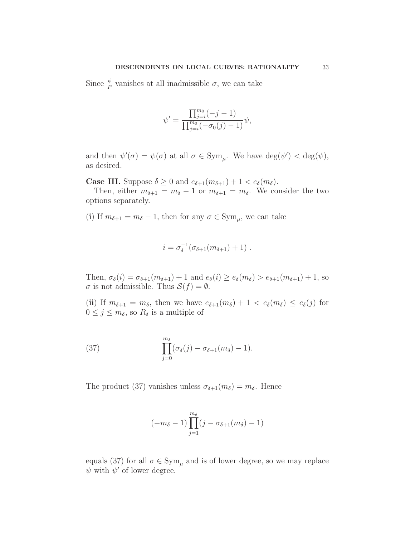Since  $\frac{\psi}{P}$  vanishes at all inadmissible  $\sigma$ , we can take

$$
\psi' = \frac{\prod_{j=i}^{m_0} (-j-1)}{\prod_{j=i}^{m_0} (-\sigma_0(j)-1)} \psi,
$$

and then  $\psi'(\sigma) = \psi(\sigma)$  at all  $\sigma \in \text{Sym}_{\mu}$ . We have  $\deg(\psi') < \deg(\psi)$ , as desired.

**Case III.** Suppose  $\delta \geq 0$  and  $e_{\delta+1}(m_{\delta+1}) + 1 < e_{\delta}(m_{\delta})$ .

Then, either  $m_{\delta+1} = m_{\delta} - 1$  or  $m_{\delta+1} = m_{\delta}$ . We consider the two options separately.

(i) If  $m_{\delta+1} = m_{\delta} - 1$ , then for any  $\sigma \in \mathrm{Sym}_{\mu}$ , we can take

$$
i = \sigma_\delta^{-1}(\sigma_{\delta+1}(m_{\delta+1}) + 1) \ .
$$

Then,  $\sigma_{\delta}(i) = \sigma_{\delta+1}(m_{\delta+1}) + 1$  and  $e_{\delta}(i) \geq e_{\delta}(m_{\delta}) > e_{\delta+1}(m_{\delta+1}) + 1$ , so  $\sigma$  is not admissible. Thus  $\mathcal{S}(f) = \emptyset$ .

(ii) If  $m_{\delta+1} = m_{\delta}$ , then we have  $e_{\delta+1}(m_{\delta}) + 1 < e_{\delta}(m_{\delta}) \le e_{\delta}(j)$  for  $0 \leq j \leq m_{\delta}$ , so  $R_{\delta}$  is a multiple of

(37) 
$$
\prod_{j=0}^{m_{\delta}} (\sigma_{\delta}(j) - \sigma_{\delta+1}(m_{\delta}) - 1).
$$

The product (37) vanishes unless  $\sigma_{\delta+1}(m_{\delta}) = m_{\delta}$ . Hence

$$
(-m_{\delta}-1)\prod_{j=1}^{m_{\delta}}(j-\sigma_{\delta+1}(m_{\delta})-1)
$$

equals (37) for all  $\sigma \in \mathrm{Sym}_{\mu}$  and is of lower degree, so we may replace  $\psi$  with  $\psi'$  of lower degree.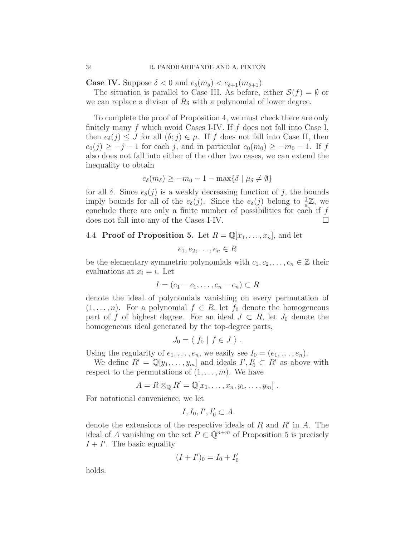**Case IV.** Suppose  $\delta < 0$  and  $e_{\delta}(m_{\delta}) < e_{\delta+1}(m_{\delta+1})$ .

The situation is parallel to Case III. As before, either  $\mathcal{S}(f) = \emptyset$  or we can replace a divisor of  $R_{\delta}$  with a polynomial of lower degree.

To complete the proof of Proposition 4, we must check there are only finitely many  $f$  which avoid Cases I-IV. If  $f$  does not fall into Case I, then  $e_{\delta}(j) \leq J$  for all  $(\delta; j) \in \mu$ . If f does not fall into Case II, then  $e_0(j) \geq -j-1$  for each j, and in particular  $e_0(m_0) \geq -m_0-1$ . If f also does not fall into either of the other two cases, we can extend the inequality to obtain

$$
e_{\delta}(m_{\delta}) \geq -m_0 - 1 - \max\{\delta \mid \mu_{\delta} \neq \emptyset\}
$$

for all  $\delta$ . Since  $e_{\delta}(j)$  is a weakly decreasing function of j, the bounds imply bounds for all of the  $e_{\delta}(j)$ . Since the  $e_{\delta}(j)$  belong to  $\frac{1}{a}\mathbb{Z}$ , we conclude there are only a finite number of possibilities for each if  $f$ does not fall into any of the Cases I-IV.

# 4.4. **Proof of Proposition 5.** Let  $R = \mathbb{Q}[x_1, \ldots, x_n]$ , and let

$$
e_1, e_2, \ldots, e_n \in R
$$

be the elementary symmetric polynomials with  $c_1, c_2, \ldots, c_n \in \mathbb{Z}$  their evaluations at  $x_i = i$ . Let

$$
I = (e_1 - c_1, \dots, e_n - c_n) \subset R
$$

denote the ideal of polynomials vanishing on every permutation of  $(1,\ldots,n)$ . For a polynomial  $f \in R$ , let  $f_0$  denote the homogeneous part of f of highest degree. For an ideal  $J \subset R$ , let  $J_0$  denote the homogeneous ideal generated by the top-degree parts,

$$
J_0 = \langle f_0 | f \in J \rangle .
$$

Using the regularity of  $e_1, \ldots, e_n$ , we easily see  $I_0 = (e_1, \ldots, e_n)$ .

We define  $R' = \mathbb{Q}[y_1, \ldots, y_m]$  and ideals  $I', I'_0 \subset R'$  as above with respect to the permutations of  $(1,\ldots,m)$ . We have

$$
A = R \otimes_{\mathbb{Q}} R' = \mathbb{Q}[x_1, \ldots, x_n, y_1, \ldots, y_m].
$$

For notational convenience, we let

$$
I,I_0,I',I_0'\subset A
$$

denote the extensions of the respective ideals of  $R$  and  $R'$  in  $A$ . The ideal of A vanishing on the set  $P \subset \mathbb{Q}^{n+m}$  of Proposition 5 is precisely  $I + I'$ . The basic equality

$$
(I+I')_0=I_0+I'_0
$$

holds.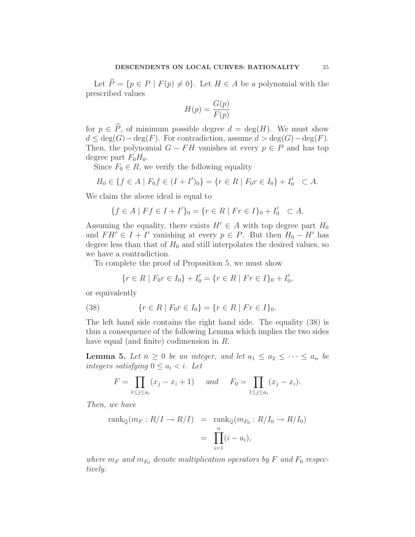Let  $\widehat{P} = \{p \in P \mid F(p) \neq 0\}$ . Let  $H \in A$  be a polynomial with the prescribed values

$$
H(p) = \frac{G(p)}{F(p)}
$$

for  $p \in \hat{P}$ , of minimum possible degree  $d = \deg(H)$ . We must show  $d \leq \deg(G) - \deg(F)$ . For contradiction, assume  $d > \deg(G) - \deg(F)$ . Then, the polynomial  $G - FH$  vanishes at every  $p \in P$  and has top degree part  $F_0H_0$ .

Since  $F_0 \in R$ , we verify the following equality

$$
H_0 \in \{ f \in A \mid F_0 f \in (I + I')_0 \} = \{ r \in R \mid F_0 r \in I_0 \} + I'_0 \quad \subset A.
$$

We claim the above ideal is equal to

$$
\{f \in A \mid Ff \in I + I'\}_0 = \{r \in R \mid Fr \in I\}_0 + I'_0 \subset A,
$$

Assuming the equality, there exists  $H' \in A$  with top degree part  $H_0$ and  $FH' \in I + I'$  vanishing at every  $p \in P$ . But then  $H_0 - H'$  has degree less than that of  $H_0$  and still interpolates the desired values, so we have a contradiction.

To complete the proof of Proposition 5, we must show

$$
\{r \in R \mid F_0r \in I_0\} + I'_0 = \{r \in R \mid Fr \in I\}_0 + I'_0,
$$

or equivalently

(38) 
$$
\{r \in R \mid F_0r \in I_0\} = \{r \in R \mid Fr \in I\}_0.
$$

The left hand side contains the right hand side. The equality (38) is thus a consequence of the following Lemma which implies the two sides have equal (and finite) codimension in R.

**Lemma 5.** Let  $n \geq 0$  be an integer, and let  $a_1 \leq a_2 \leq \cdots \leq a_n$  be integers satisfying  $0 \leq a_i < i$ . Let

$$
F = \prod_{1 \le j \le a_i} (x_j - x_i + 1) \quad \text{and} \quad F_0 = \prod_{1 \le j \le a_i} (x_j - x_i).
$$

Then, we have

$$
\operatorname{rank}_{\mathbb{Q}}(m_F : R/I \to R/I) = \operatorname{rank}_{\mathbb{Q}}(m_{F_0} : R/I_0 \to R/I_0)
$$

$$
= \prod_{i=1}^n (i - a_i),
$$

where  $m_F$  and  $m_{F_0}$  denote multiplication operators by F and  $F_0$  respectively.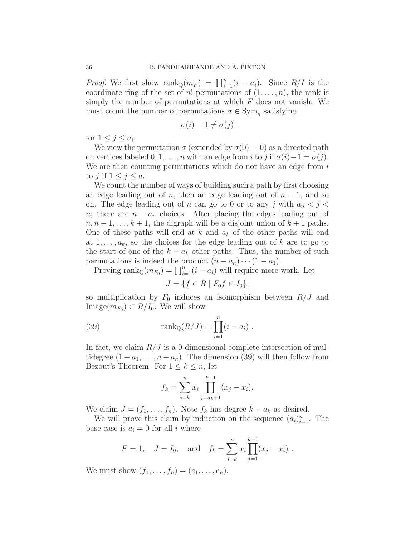*Proof.* We first show  $\text{rank}_{\mathbb{Q}}(m_F) = \prod_{i=1}^n (i - a_i)$ . Since  $R/I$  is the coordinate ring of the set of n! permutations of  $(1,\ldots,n)$ , the rank is simply the number of permutations at which  $F$  does not vanish. We must count the number of permutations  $\sigma \in \text{Sym}_n$  satisfying

$$
\sigma(i) - 1 \neq \sigma(j)
$$

for  $1 \leq j \leq a_i$ .

We view the permutation  $\sigma$  (extended by  $\sigma(0) = 0$ ) as a directed path on vertices labeled  $0, 1, \ldots, n$  with an edge from i to j if  $\sigma(i)-1 = \sigma(j)$ . We are then counting permutations which do not have an edge from  $i$ to *j* if  $1 \leq j \leq a_i$ .

We count the number of ways of building such a path by first choosing an edge leading out of n, then an edge leading out of  $n-1$ , and so on. The edge leading out of n can go to 0 or to any j with  $a_n < j <$ n; there are  $n - a_n$  choices. After placing the edges leading out of  $n, n-1, \ldots, k+1$ , the digraph will be a disjoint union of  $k+1$  paths. One of these paths will end at k and  $a_k$  of the other paths will end at  $1, \ldots, a_k$ , so the choices for the edge leading out of k are to go to the start of one of the  $k - a_k$  other paths. Thus, the number of such permutations is indeed the product  $(n - a_n) \cdots (1 - a_1)$ .

Proving  $\text{rank}_{\mathbb{Q}}(m_{F_0}) = \prod_{i=1}^n (i - a_i)$  will require more work. Let

$$
J = \{ f \in R \mid F_0 f \in I_0 \},
$$

so multiplication by  $F_0$  induces an isomorphism between  $R/J$  and Image $(m_{F_0}) \subset R/I_0$ . We will show

(39) 
$$
\text{rank}_{\mathbb{Q}}(R/J) = \prod_{i=1}^{n} (i - a_i) .
$$

In fact, we claim  $R/J$  is a 0-dimensional complete intersection of multidegree  $(1 - a_1, \ldots, n - a_n)$ . The dimension (39) will then follow from Bezout's Theorem. For  $1 \leq k \leq n$ , let

$$
f_k = \sum_{i=k}^{n} x_i \prod_{j=a_k+1}^{k-1} (x_j - x_i).
$$

We claim  $J = (f_1, \ldots, f_n)$ . Note  $f_k$  has degree  $k - a_k$  as desired.

We will prove this claim by induction on the sequence  $(a_i)_{i=1}^n$ . The base case is  $a_i = 0$  for all i where

$$
F = 1
$$
,  $J = I_0$ , and  $f_k = \sum_{i=k}^n x_i \prod_{j=1}^{k-1} (x_j - x_i)$ .

We must show  $(f_1, ..., f_n) = (e_1, ..., e_n)$ .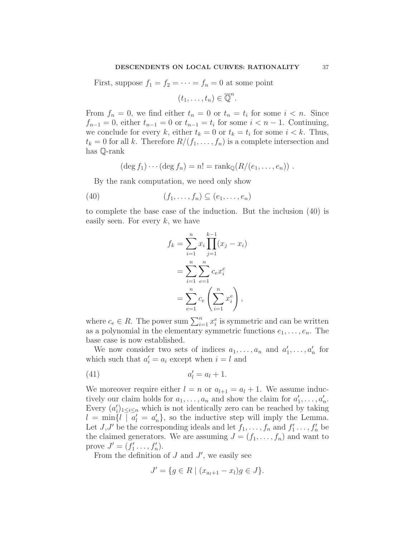First, suppose  $f_1 = f_2 = \cdots = f_n = 0$  at some point

$$
(t_1,\ldots,t_n)\in\overline{\mathbb{Q}}^n.
$$

From  $f_n = 0$ , we find either  $t_n = 0$  or  $t_n = t_i$  for some  $i < n$ . Since  $f_{n-1} = 0$ , either  $t_{n-1} = 0$  or  $t_{n-1} = t_i$  for some  $i < n-1$ . Continuing, we conclude for every k, either  $t_k = 0$  or  $t_k = t_i$  for some  $i < k$ . Thus,  $t_k = 0$  for all k. Therefore  $R/(f_1, \ldots, f_n)$  is a complete intersection and has Q-rank

$$
(\deg f_1)\cdots(\deg f_n)=n!=\operatorname{rank}_{\mathbb{Q}}(R/(e_1,\ldots,e_n))\ .
$$

By the rank computation, we need only show

$$
(40) \qquad (f_1, \ldots, f_n) \subseteq (e_1, \ldots, e_n)
$$

to complete the base case of the induction. But the inclusion (40) is easily seen. For every  $k$ , we have

$$
f_k = \sum_{i=1}^n x_i \prod_{j=1}^{k-1} (x_j - x_i)
$$
  
= 
$$
\sum_{i=1}^n \sum_{e=1}^n c_e x_i^e
$$
  
= 
$$
\sum_{e=1}^n c_e \left( \sum_{i=1}^n x_i^e \right),
$$

where  $c_e \in R$ . The power sum  $\sum_{i=1}^n x_i^e$  is symmetric and can be written as a polynomial in the elementary symmetric functions  $e_1, \ldots, e_n$ . The base case is now established.

We now consider two sets of indices  $a_1, \ldots, a_n$  and  $a'_1, \ldots, a'_n$  for which such that  $a'_i = a_i$  except when  $i = l$  and

$$
(41) \t a'_l = a_l + 1.
$$

We moreover require either  $l = n$  or  $a_{l+1} = a_l + 1$ . We assume inductively our claim holds for  $a_1, \ldots, a_n$  and show the claim for  $a'_1, \ldots, a'_n$ . Every  $(a'_i)_{1 \leq i \leq n}$  which is not identically zero can be reached by taking  $l = \min\{l \mid a'_l = a'_n\}$ , so the inductive step will imply the Lemma. Let  $J, J'$  be the corresponding ideals and let  $f_1, \ldots, f_n$  and  $f'_1, \ldots, f'_n$  be the claimed generators. We are assuming  $J = (f_1, \ldots, f_n)$  and want to prove  $J' = (f'_1, \ldots, f'_n)$ .

From the definition of  $J$  and  $J'$ , we easily see

$$
J' = \{ g \in R \mid (x_{a_l+1} - x_l)g \in J \}.
$$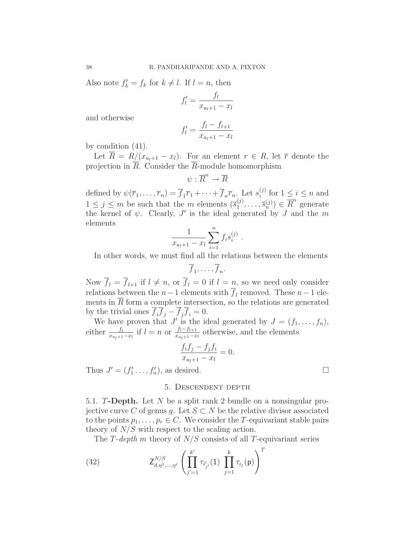Also note  $f'_k = f_k$  for  $k \neq l$ . If  $l = n$ , then

$$
f'_l = \frac{f_l}{x_{a_l+1} - x_l}
$$

and otherwise

$$
f'_{l} = \frac{f_{l} - f_{l+1}}{x_{a_{l}+1} - x_{l}}
$$

by condition (41).

Let  $\overline{R} = R/(x_{a_1+1} - x_l)$ . For an element  $r \in R$ , let  $\overline{r}$  denote the projection in R. Consider the R-module homomorphism

$$
\psi:\overline{R}^n\to \overline{R}
$$

defined by  $\psi(\overline{r}_1,\ldots,\overline{r}_n)=\overline{f}_1\overline{r}_1+\cdots+\overline{f}_n\overline{r}_n$ . Let  $s_i^{(j)}$  $i^{(j)}$  for  $1 \leq i \leq n$  and  $1 \leq j \leq m$  be such that the m elements  $(\overline{s}_1^{(j)})$  $\overline{s}_1^{(j)}, \ldots, \overline{s}_n^{(j)}$   $\in \overline{R}^n$  generate the kernel of  $\psi$ . Clearly,  $J'$  is the ideal generated by  $J$  and the  $m$ elements

$$
\frac{1}{x_{a_l+1} - x_l} \sum_{i=1}^n f_i s_i^{(j)}.
$$

In other words, we must find all the relations between the elements

$$
\overline{f}_1,\ldots,\overline{f}_n.
$$

Now  $\overline{f}_l = \overline{f}_{l+1}$  if  $l \neq n$ , or  $\overline{f}_l = 0$  if  $l = n$ , so we need only consider relations between the  $n-1$  elements with  $f_l$  removed. These  $n-1$  elements in  $\overline{R}$  form a complete intersection, so the relations are generated by the trivial ones  $\overline{f}_i \overline{f}_j - \overline{f}_j \overline{f}_i = 0$ .

We have proven that J' is the ideal generated by  $J = (f_1, \ldots, f_n)$ , either  $\frac{f_l}{x_{a_l+1}-x_l}$  if  $l=n$  or  $\frac{f_l-f_{l+1}}{x_{a_l+1}-x_l}$  $\frac{J_l - J_{l+1}}{x_{a_l+1}-x_l}$  otherwise, and the elements

$$
\frac{f_i f_j - f_j f_i}{x_{a_l+1} - x_l} = 0.
$$

Thus  $J' = (f'_1 \ldots, f'_n)$ , as desired.

## 5. Descendent depth

5.1. T-Depth. Let N be a split rank 2 bundle on a nonsingular projective curve C of genus q. Let  $S \subset N$  be the relative divisor associated to the points  $p_1, \ldots, p_r \in C$ . We consider the T-equivariant stable pairs theory of  $N/S$  with respect to the scaling action.

The T-depth m theory of  $N/S$  consists of all T-equivariant series

(42) 
$$
\mathsf{Z}_{d,\eta^{1},\dots,\eta^{r}}^{N/S} \left( \prod_{j'=1}^{k'} \tau_{i'_{j'}}(1) \prod_{j=1}^{k} \tau_{i_{j}}(\mathsf{p}) \right)^{T}
$$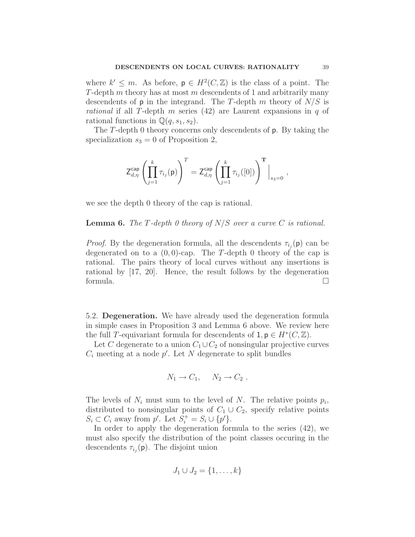where  $k' \leq m$ . As before,  $p \in H^2(C, \mathbb{Z})$  is the class of a point. The T-depth m theory has at most m descendents of 1 and arbitrarily many descendents of  $p$  in the integrand. The T-depth m theory of  $N/S$  is rational if all T-depth m series  $(42)$  are Laurent expansions in q of rational functions in  $\mathbb{Q}(q,s_1,s_2)$ .

The T-depth 0 theory concerns only descendents of p. By taking the specialization  $s_3 = 0$  of Proposition 2,

$$
\mathsf{Z}_{d,\eta}^{\mathsf{cap}} \left( \prod_{j=1}^k \tau_{i_j}(\mathsf{p}) \right)^T = \mathsf{Z}_{d,\eta}^{\mathsf{cap}} \left( \prod_{j=1}^k \tau_{i_j}([0]) \right)^{\mathbf{T}} \Big|_{s_3 = 0} \ ,
$$

we see the depth 0 theory of the cap is rational.

### **Lemma 6.** The T-depth 0 theory of  $N/S$  over a curve C is rational.

*Proof.* By the degeneration formula, all the descendents  $\tau_{i_j}(\mathbf{p})$  can be degenerated on to a  $(0, 0)$ -cap. The T-depth 0 theory of the cap is rational. The pairs theory of local curves without any insertions is rational by [17, 20]. Hence, the result follows by the degeneration formula.  $\Box$ 

5.2. Degeneration. We have already used the degeneration formula in simple cases in Proposition 3 and Lemma 6 above. We review here the full T-equivariant formula for descendents of  $1, p \in H^*(C, \mathbb{Z})$ .

Let C degenerate to a union  $C_1 \cup C_2$  of nonsingular projective curves  $C_i$  meeting at a node  $p'$ . Let N degenerate to split bundles

$$
N_1 \to C_1, \quad N_2 \to C_2.
$$

The levels of  $N_i$  must sum to the level of N. The relative points  $p_i$ , distributed to nonsingular points of  $C_1 \cup C_2$ , specify relative points  $S_i \subset C_i$  away from  $p'$ . Let  $S_i^+ = S_i \cup \{p'\}.$ 

In order to apply the degeneration formula to the series (42), we must also specify the distribution of the point classes occuring in the descendents  $\tau_{i_j}(\mathsf{p})$ . The disjoint union

$$
J_1 \cup J_2 = \{1, \ldots, k\}
$$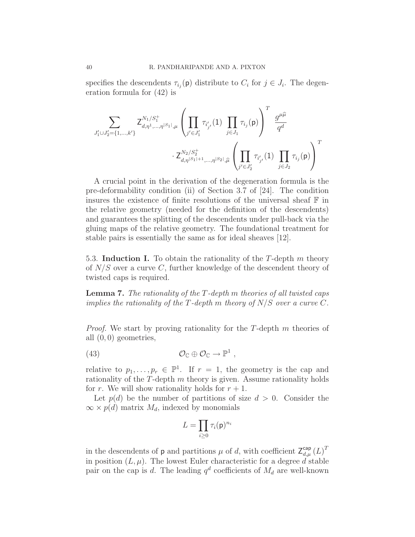specifies the descendents  $\tau_{i_j}(\mathbf{p})$  distribute to  $C_i$  for  $j \in J_i$ . The degeneration formula for (42) is

$$
\sum_{J_1' \cup J_2' = \{1, \dots, k'\}} \mathsf{Z}_{d, \eta^1, \dots, \eta^{|S_1|}, \mu}^{N_1/S_1^+} \left( \prod_{j' \in J_1'} \tau_{i'_{j'}}(1) \prod_{j \in J_1} \tau_{i_j}(p) \right)^T \frac{g^{\mu \widehat{\mu}}}{q^d}
$$

$$
\cdot \mathsf{Z}_{d, \eta^{|S_1|+1}, \dots, \eta^{|S_2|}, \widehat{\mu}}^{N_2/S_2^+} \left( \prod_{j' \in J_2'} \tau_{i'_{j'}}(1) \prod_{j \in J_2} \tau_{i_j}(p) \right)^T
$$

A crucial point in the derivation of the degeneration formula is the pre-deformability condition (ii) of Section 3.7 of [24]. The condition insures the existence of finite resolutions of the universal sheaf  $\mathbb F$  in the relative geometry (needed for the definition of the descendents) and guarantees the splitting of the descendents under pull-back via the gluing maps of the relative geometry. The foundational treatment for stable pairs is essentially the same as for ideal sheaves [12].

5.3. Induction I. To obtain the rationality of the  $T$ -depth  $m$  theory of  $N/S$  over a curve C, further knowledge of the descendent theory of twisted caps is required.

**Lemma 7.** The rationality of the  $T$ -depth m theories of all twisted caps implies the rationality of the T-depth m theory of  $N/S$  over a curve C.

*Proof.* We start by proving rationality for the T-depth  $m$  theories of all (0, 0) geometries,

(43) 
$$
\mathcal{O}_{\mathbb{C}} \oplus \mathcal{O}_{\mathbb{C}} \to \mathbb{P}^1 ,
$$

relative to  $p_1, \ldots, p_r \in \mathbb{P}^1$ . If  $r = 1$ , the geometry is the cap and rationality of the  $T$ -depth  $m$  theory is given. Assume rationality holds for r. We will show rationality holds for  $r + 1$ .

Let  $p(d)$  be the number of partitions of size  $d > 0$ . Consider the  $\infty \times p(d)$  matrix  $M_d$ , indexed by monomials

$$
L=\prod_{i\geq 0}\tau_i(\mathsf{p})^{n_i}
$$

in the descendents of **p** and partitions  $\mu$  of d, with coefficient  $\mathsf{Z}_{d,\mu}^{\mathsf{cap}}(L)^{T}$ in position  $(L, \mu)$ . The lowest Euler characteristic for a degree d stable pair on the cap is d. The leading  $q^d$  coefficients of  $M_d$  are well-known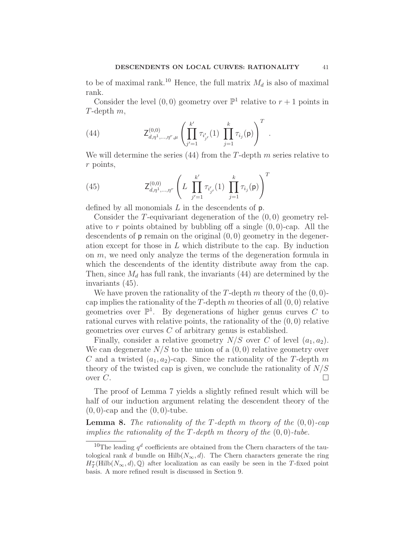to be of maximal rank.<sup>10</sup> Hence, the full matrix  $M_d$  is also of maximal rank.

Consider the level  $(0,0)$  geometry over  $\mathbb{P}^1$  relative to  $r+1$  points in T-depth m,

(44) 
$$
\mathsf{Z}_{d,\eta^1,\dots,\eta^r,\mu}^{(0,0)}\left(\prod_{j'=1}^{k'}\tau_{i'_{j'}}(1)\prod_{j=1}^{k}\tau_{i_j}(\mathsf{p})\right)^T.
$$

We will determine the series  $(44)$  from the T-depth m series relative to r points,

(45) 
$$
\mathsf{Z}_{d,\eta^{1},\dots,\eta^{r}}^{(0,0)}\left(L\prod_{j'=1}^{k'}\tau_{i'_{j'}}(1)\prod_{j=1}^{k}\tau_{i_{j}}(\mathsf{p})\right)^{T}
$$

defined by all monomials  $L$  in the descendents of  $p$ .

Consider the  $T$ -equivariant degeneration of the  $(0,0)$  geometry relative to r points obtained by bubbling off a single  $(0, 0)$ -cap. All the descendents of  $p$  remain on the original  $(0, 0)$  geometry in the degeneration except for those in  $L$  which distribute to the cap. By induction on  $m$ , we need only analyze the terms of the degeneration formula in which the descendents of the identity distribute away from the cap. Then, since  $M_d$  has full rank, the invariants (44) are determined by the invariants (45).

We have proven the rationality of the T-depth  $m$  theory of the  $(0, 0)$ cap implies the rationality of the T-depth m theories of all  $(0, 0)$  relative geometries over  $\mathbb{P}^1$ . By degenerations of higher genus curves C to rational curves with relative points, the rationality of the (0, 0) relative geometries over curves  $C$  of arbitrary genus is established.

Finally, consider a relative geometry  $N/S$  over C of level  $(a_1,a_2)$ . We can degenerate  $N/S$  to the union of a  $(0,0)$  relative geometry over C and a twisted  $(a_1, a_2)$ -cap. Since the rationality of the T-depth m theory of the twisted cap is given, we conclude the rationality of  $N/S$ over  $C$ .

The proof of Lemma 7 yields a slightly refined result which will be half of our induction argument relating the descendent theory of the  $(0, 0)$ -cap and the  $(0, 0)$ -tube.

**Lemma 8.** The rationality of the T-depth m theory of the  $(0,0)$ -cap implies the rationality of the T-depth m theory of the  $(0, 0)$ -tube.

<sup>&</sup>lt;sup>10</sup>The leading  $q<sup>d</sup>$  coefficients are obtained from the Chern characters of the tautological rank d bundle on  $\text{Hilb}(N_{\infty},d)$ . The Chern characters generate the ring  $H^*_T(\mathrm{Hilb}(N_{\infty},d),\mathbb{Q})$  after localization as can easily be seen in the T-fixed point basis. A more refined result is discussed in Section 9.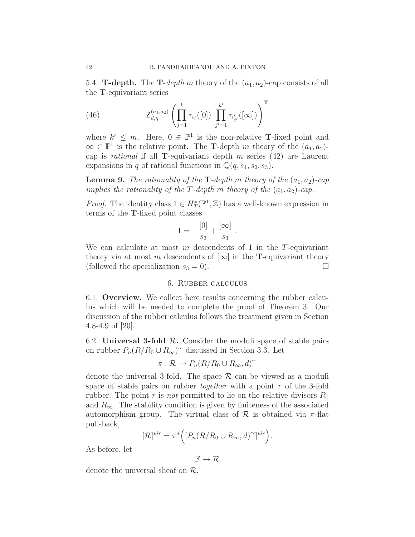5.4. **T-depth.** The **T**-depth m theory of the  $(a_1, a_2)$ -cap consists of all the T-equivariant series

(46) 
$$
Z_{d,\eta}^{(a_1,a_2)}\left(\prod_{j=1}^k \tau_{i_j}([0]) \prod_{j'=1}^{k'} \tau_{i'_{j'}}([\infty])\right)^{\mathrm{T}}
$$

where  $k' \leq m$ . Here,  $0 \in \mathbb{P}^1$  is the non-relative **T**-fixed point and  $\infty \in \mathbb{P}^1$  is the relative point. The **T**-depth m theory of the  $(a_1, a_2)$ cap is *rational* if all **T**-equivariant depth  $m$  series (42) are Laurent expansions in q of rational functions in  $\mathbb{Q}(q,s_1,s_2,s_3)$ .

**Lemma 9.** The rationality of the **T**-depth m theory of the  $(a_1, a_2)$ -cap implies the rationality of the T-depth m theory of the  $(a_1,a_2)$ -cap.

*Proof.* The identity class  $1 \in H^*_T(\mathbb{P}^1, \mathbb{Z})$  has a well-known expression in terms of the T-fixed point classes

$$
1 = -\frac{[0]}{s_3} + \frac{[\infty]}{s_3}.
$$

We can calculate at most  $m$  descendents of 1 in the T-equivariant theory via at most m descendents of  $[\infty]$  in the **T**-equivariant theory (followed the specialization  $s_3 = 0$ ).

### 6. Rubber calculus

6.1. Overview. We collect here results concerning the rubber calculus which will be needed to complete the proof of Theorem 3. Our discussion of the rubber calculus follows the treatment given in Section 4.8-4.9 of [20].

6.2. Universal 3-fold  $R$ . Consider the moduli space of stable pairs on rubber  $P_n(R/R_0 \cup R_\infty)$ <sup>~</sup> discussed in Section 3.3. Let

$$
\pi: \mathcal{R} \to P_n(R/R_0 \cup R_\infty, d)^\sim
$$

denote the universal 3-fold. The space  $\mathcal R$  can be viewed as a moduli space of stable pairs on rubber *together* with a point r of the 3-fold rubber. The point r is not permitted to lie on the relative divisors  $R_0$ and  $R_{\infty}$ . The stability condition is given by finiteness of the associated automorphism group. The virtual class of  $\mathcal R$  is obtained via  $\pi$ -flat pull-back,

$$
[\mathcal{R}]^{vir} = \pi^* \Big( [P_n(R/R_0 \cup R_\infty, d)^\sim]^{vir} \Big).
$$

As before, let

$$
\mathbb{F} \to \mathcal{R}
$$

denote the universal sheaf on R.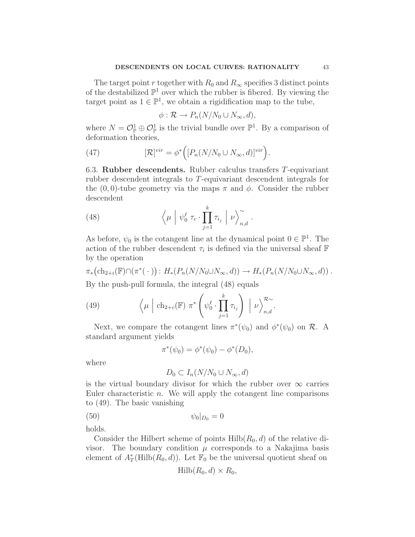The target point r together with  $R_0$  and  $R_\infty$  specifies 3 distinct points of the destabilized  $\mathbb{P}^1$  over which the rubber is fibered. By viewing the target point as  $1 \in \mathbb{P}^1$ , we obtain a rigidification map to the tube,

$$
\phi: \mathcal{R} \to P_n(N/N_0 \cup N_\infty, d),
$$

where  $N = \mathcal{O}_{\mathbb{P}}^1 \oplus \mathcal{O}_{\mathbb{P}}^1$  is the trivial bundle over  $\mathbb{P}^1$ . By a comparison of deformation theories,

(47) 
$$
[\mathcal{R}]^{vir} = \phi^* \Big( [P_n(N/N_0 \cup N_\infty, d)]^{vir} \Big).
$$

6.3. Rubber descendents. Rubber calculus transfers T-equivariant rubber descendent integrals to T-equivariant descendent integrals for the  $(0, 0)$ -tube geometry via the maps  $\pi$  and  $\phi$ . Consider the rubber descendent

(48) 
$$
\left\langle \mu \middle| \psi_0^{\ell} \tau_c \cdot \prod_{j=1}^{k} \tau_{i_j} \middle| \nu \right\rangle_{n,d}^{\sim}.
$$

As before,  $\psi_0$  is the cotangent line at the dynamical point  $0 \in \mathbb{P}^1$ . The action of the rubber descendent  $\tau_i$  is defined via the universal sheaf  $\mathbb F$ by the operation

$$
\pi_*\big(\mathrm{ch}_{2+i}(\mathbb{F}) \cap (\pi^*(\cdot)) : H_*(P_n(N/N_0 \cup N_\infty, d)) \to H_*(P_n(N/N_0 \cup N_\infty, d)) .
$$

By the push-pull formula, the integral (48) equals

(49) 
$$
\left\langle \mu \mid \mathrm{ch}_{2+c}(\mathbb{F}) \; \pi^* \left( \psi_0^{\ell} \cdot \prod_{j=1}^k \tau_{i_j} \right) \; \middle| \; \nu \right\rangle_{n,d}^{\mathcal{R}_{\sim}}.
$$

Next, we compare the cotangent lines  $\pi^*(\psi_0)$  and  $\phi^*(\psi_0)$  on  $\mathcal{R}$ . A standard argument yields

$$
\pi^*(\psi_0) = \phi^*(\psi_0) - \phi^*(D_0),
$$

where

$$
D_0 \subset I_n(N/N_0 \cup N_\infty, d)
$$

is the virtual boundary divisor for which the rubber over  $\infty$  carries Euler characteristic  $n$ . We will apply the cotangent line comparisons to (49). The basic vanishing

(50) 
$$
\psi_0|_{D_0} = 0
$$

holds.

Consider the Hilbert scheme of points  $Hilb(R_0,d)$  of the relative divisor. The boundary condition  $\mu$  corresponds to a Nakajima basis element of  $A_T^*$ (Hilb $(R_0, d)$ ). Let  $\mathbb{F}_0$  be the universal quotient sheaf on

$$
Hilb(R_0, d) \times R_0,
$$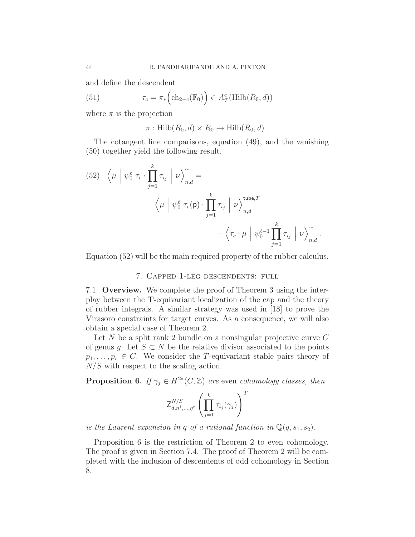and define the descendent

(51) 
$$
\tau_c = \pi_* \left( \text{ch}_{2+c}(\mathbb{F}_0) \right) \in A_T^c(\text{Hilb}(R_0, d))
$$

where  $\pi$  is the projection

 $\pi : \mathrm{Hilb}(R_0, d) \times R_0 \to \mathrm{Hilb}(R_0, d)$ .

The cotangent line comparisons, equation (49), and the vanishing (50) together yield the following result,

(52) 
$$
\langle \mu | \psi_0^{\ell} \tau_c \cdot \prod_{j=1}^k \tau_{i_j} | \nu \rangle_{n,d}^{\sim} =
$$
  
 $\langle \mu | \psi_0^{\ell} \tau_c(\mathbf{p}) \cdot \prod_{j=1}^k \tau_{i_j} | \nu \rangle_{n,d}^{\text{tube},T}$   
 $- \langle \tau_c \cdot \mu | \psi_0^{\ell-1} \prod_{j=1}^k \tau_{i_j} | \nu \rangle_{n,d}^{\sim}.$ 

Equation (52) will be the main required property of the rubber calculus.

# 7. Capped 1-leg descendents: full

7.1. Overview. We complete the proof of Theorem 3 using the interplay between the T-equivariant localization of the cap and the theory of rubber integrals. A similar strategy was used in [18] to prove the Virasoro constraints for target curves. As a consequence, we will also obtain a special case of Theorem 2.

Let N be a split rank 2 bundle on a nonsingular projective curve  $C$ of genus g. Let  $S \subset N$  be the relative divisor associated to the points  $p_1,\ldots,p_r \in C$ . We consider the T-equivariant stable pairs theory of  $N/S$  with respect to the scaling action.

**Proposition 6.** If  $\gamma_j \in H^{2*}(C, \mathbb{Z})$  are even cohomology classes, then

$$
\mathsf{Z}^{N/S}_{d,\eta^1,\ldots,\eta^r}\left(\prod_{j=1}^k\tau_{i_j}(\gamma_j)\right)^T
$$

is the Laurent expansion in q of a rational function in  $\mathbb{Q}(q,s_1,s_2)$ .

Proposition 6 is the restriction of Theorem 2 to even cohomology. The proof is given in Section 7.4. The proof of Theorem 2 will be completed with the inclusion of descendents of odd cohomology in Section 8.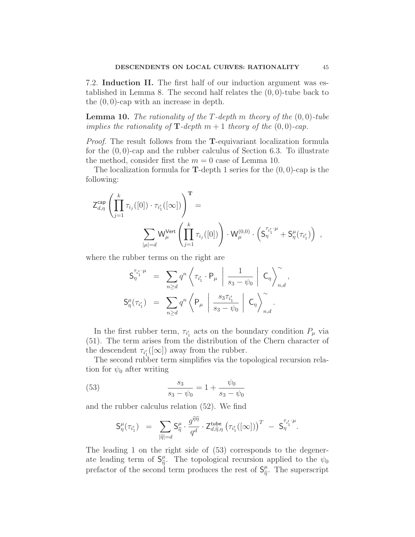7.2. Induction II. The first half of our induction argument was established in Lemma 8. The second half relates the  $(0, 0)$ -tube back to the (0, 0)-cap with an increase in depth.

**Lemma 10.** The rationality of the T-depth m theory of the  $(0, 0)$ -tube implies the rationality of  $\mathbf{T}\text{-depth } m+1$  theory of the  $(0,0)\text{-cap}.$ 

Proof. The result follows from the T-equivariant localization formula for the  $(0, 0)$ -cap and the rubber calculus of Section 6.3. To illustrate the method, consider first the  $m = 0$  case of Lemma 10.

The localization formula for **T**-depth 1 series for the  $(0, 0)$ -cap is the following:

$$
\begin{split} \mathsf{Z}_{d,\eta}^{\mathsf{cap}} \left( \prod_{j=1}^k \tau_{i_j}([0]) \cdot \tau_{i'_1}([\infty]) \right)^{\mathbf{T}} & = \\ & \qquad \qquad \sum_{|\mu|=d} \mathsf{W}_\mu^{\mathsf{Vert}} \left( \prod_{j=1}^k \tau_{i_j}([0]) \right) \cdot \mathsf{W}_\mu^{(0,0)} \cdot \left( \mathsf{S}_\eta^{\tau_{i'_1} \cdot \mu} + \mathsf{S}_\eta^\mu(\tau_{i'_1}) \right) \;, \end{split}
$$

where the rubber terms on the right are

$$
S_{\eta}^{\tau_{i'_1} \cdot \mu} = \sum_{n \ge d} q^n \left\langle \tau_{i'_1} \cdot P_{\mu} \mid \frac{1}{s_3 - \psi_0} \mid C_{\eta} \right\rangle_{n,d}^{\sim},
$$
  

$$
S_{\eta}^{\mu}(\tau_{i'_1}) = \sum_{n \ge d} q^n \left\langle P_{\mu} \mid \frac{s_3 \tau_{i'_1}}{s_3 - \psi_0} \mid C_{\eta} \right\rangle_{n,d}^{\sim}.
$$

In the first rubber term,  $\tau_{i'_1}$  acts on the boundary condition  $P_\mu$  via (51). The term arises from the distribution of the Chern character of the descendent  $\tau_{i'_1}([\infty])$  away from the rubber.

The second rubber term simplifies via the topological recursion relation for  $\psi_0$  after writing

(53) 
$$
\frac{s_3}{s_3 - \psi_0} = 1 + \frac{\psi_0}{s_3 - \psi_0}
$$

and the rubber calculus relation (52). We find

$$
\mathsf{S}^\mu_\eta(\tau_{i_1'}) \;\; = \;\; \sum_{|\widehat{\eta}| = d} \mathsf{S}^\mu_{\widehat{\eta}} \cdot \frac{g^{\widehat{\eta}\widehat{\eta}}}{q^d} \cdot \mathsf{Z}^{\mathsf{tube}}_{d,\widehat{\eta},\eta} \left(\tau_{i_1'}([\infty])\right)^T \;\; - \;\; \mathsf{S}^{\tau_{i_1'}\cdot \mu}_{\eta}.
$$

The leading 1 on the right side of (53) corresponds to the degenerate leading term of  $S_{\hat{n}}^{\mu}$  $\frac{\mu}{\hat{\eta}}$ . The topological recursion applied to the  $\psi_0$ prefactor of the second term produces the rest of  $S_{\hat{n}}^{\mu}$  $\frac{\mu}{\hat{\eta}}$ . The superscript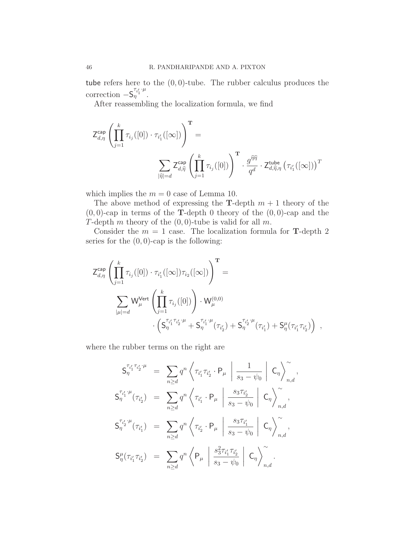tube refers here to the  $(0, 0)$ -tube. The rubber calculus produces the correction  $-S_{\eta}^{\tau_{i'_1}\cdot \mu}$ .

After reassembling the localization formula, we find

$$
Z_{d,\eta}^{\text{cap}} \left( \prod_{j=1}^{k} \tau_{i_j}([0]) \cdot \tau_{i'_1}([\infty]) \right)^{\mathbf{T}} = \sum_{\substack{\boldsymbol{\widetilde{\eta}} \mid = d}} Z_{d,\widehat{\eta}}^{\text{cap}} \left( \prod_{j=1}^{k} \tau_{i_j}([0]) \right)^{\mathbf{T}} \cdot \frac{g^{\widehat{\eta}\widehat{\eta}}}{q^d} \cdot Z_{d,\widehat{\eta},\eta}^{\text{tube}} \left( \tau_{i'_1}([\infty]) \right)^{\mathbf{T}}
$$

which implies the  $m = 0$  case of Lemma 10.

The above method of expressing the **T**-depth  $m + 1$  theory of the  $(0, 0)$ -cap in terms of the **T**-depth 0 theory of the  $(0, 0)$ -cap and the T-depth m theory of the  $(0, 0)$ -tube is valid for all m.

Consider the  $m = 1$  case. The localization formula for **T**-depth 2 series for the  $(0, 0)$ -cap is the following:

$$
Z_{d,\eta}^{\text{cap}} \left( \prod_{j=1}^{k} \tau_{i_j}([0]) \cdot \tau_{i'_1}([\infty]) \tau_{i_2}([\infty]) \right)^{\text{T}} =
$$
  

$$
\sum_{|\mu|=d} W_{\mu}^{\text{Vert}} \left( \prod_{j=1}^{k} \tau_{i_j}([0]) \right) \cdot W_{\mu}^{(0,0)}
$$
  

$$
\cdot \left( S_{\eta}^{\tau_{i'_1} \tau_{i'_2} \cdot \mu} + S_{\eta}^{\tau_{i'_1} \cdot \mu}(\tau_{i'_2}) + S_{\eta}^{\tau_{i'_2} \cdot \mu}(\tau_{i'_1}) + S_{\eta}^{\mu}(\tau_{i'_1} \tau_{i'_2}) \right) ,
$$

where the rubber terms on the right are

$$
S_{\eta}^{\tau_{i'_1} \tau_{i'_2} \cdot \mu} = \sum_{n \ge d} q^n \left\langle \tau_{i'_1} \tau_{i'_2} \cdot P_{\mu} \middle| \frac{1}{s_3 - \psi_0} \middle| C_{\eta} \right\rangle_{n,d}^{\sim},
$$
  

$$
S_{\eta}^{\tau_{i'_1} \cdot \mu}(\tau_{i'_2}) = \sum_{n \ge d} q^n \left\langle \tau_{i'_1} \cdot P_{\mu} \middle| \frac{s_3 \tau_{i'_2}}{s_3 - \psi_0} \middle| C_{\eta} \right\rangle_{n,d}^{\sim},
$$
  

$$
S_{\eta}^{\tau_{i'_2} \cdot \mu}(\tau_{i'_1}) = \sum_{n \ge d} q^n \left\langle \tau_{i'_2} \cdot P_{\mu} \middle| \frac{s_3 \tau_{i'_1}}{s_3 - \psi_0} \middle| C_{\eta} \right\rangle_{n,d}^{\sim},
$$
  

$$
S_{\eta}^{\mu}(\tau_{i'_1} \tau_{i'_2}) = \sum_{n \ge d} q^n \left\langle P_{\mu} \middle| \frac{s_3^2 \tau_{i'_1} \tau_{i'_2}}{s_3 - \psi_0} \middle| C_{\eta} \right\rangle_{n,d}^{\sim}.
$$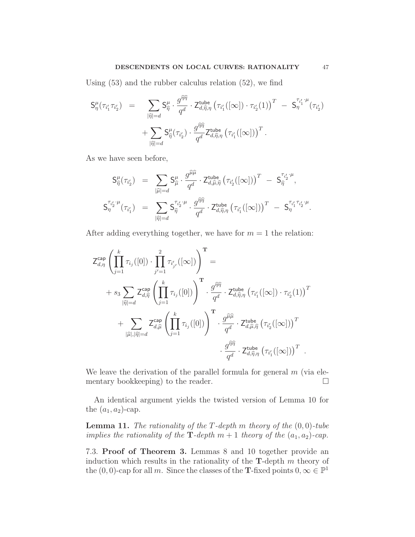Using (53) and the rubber calculus relation (52), we find

$$
\begin{array}{rcl} \mathsf{S}^{\mu}_{\eta}(\tau_{i'_{1}}\tau_{i'_{2}}) & = & \displaystyle \sum_{|\widehat{\eta}| = d} \mathsf{S}^{\mu}_{\widehat{\eta}} \cdot \frac{g^{\widehat{\eta}\widehat{\eta}}}{q^{d}} \cdot \mathsf{Z}^{\mathsf{tube}}_{d,\widehat{\eta},\eta} \left( \tau_{i'_{1}}([\infty]) \cdot \tau_{i'_{2}}(1) \right)^{T} \; - \; \mathsf{S}^{\tau_{i'_{1}} \cdot \mu}_{\eta}(\tau_{i'_{2}}) \\ & & \; + \displaystyle \sum_{|\widehat{\eta}| = d} \mathsf{S}^{\mu}_{\widehat{\eta}}(\tau_{i'_{2}}) \cdot \frac{g^{\widehat{\eta}\widehat{\eta}}}{q^{d}} \mathsf{Z}^{\mathsf{tube}}_{d,\widehat{\eta},\eta} \left( \tau_{i'_{1}}([\infty]) \right)^{T} . \end{array}
$$

As we have seen before,

$$
\begin{array}{rcl} \mathsf{S}_{\widehat{\eta}}^{\mu}(\tau_{i_2^{\prime}}) & = & \displaystyle \sum_{|\widehat{\mu}|=d} \mathsf{S}_{\widehat{\mu}}^{\mu} \cdot \frac{g^{\widehat{\mu}\widehat{\mu}}}{q^d} \cdot \mathsf{Z}^{\mathsf{tube}}_{d,\widehat{\mu},\widehat{\eta}} \left(\tau_{i_2^{\prime}}([\infty])\right)^T \; - \; \mathsf{S}_{\widehat{\eta}}^{\tau_{i_2^{\prime}\cdot\mu}}, \\ \mathsf{S}_{\eta}^{\tau_{i_2^{\prime}\cdot\mu}}(\tau_{i_1^{\prime}}) & = & \displaystyle \sum_{|\widehat{\eta}|=d} \mathsf{S}_{\widehat{\eta}}^{\tau_{i_2^{\prime}\cdot\mu}} \cdot \frac{g^{\widehat{\eta}\widehat{\eta}}}{q^d} \cdot \mathsf{Z}_{d,\widehat{\eta},\eta}^{\mathsf{tube}} \left(\tau_{i_1^{\prime}}([\infty])\right)^T \; - \; \mathsf{S}_{\eta}^{\tau_{i_1^{\prime}\cdot\mu}}. \end{array}
$$

After adding everything together, we have for  $m = 1$  the relation:

$$
Z_{d,\eta}^{\text{cap}} \left( \prod_{j=1}^{k} \tau_{i_j}([0]) \cdot \prod_{j'=1}^{2} \tau_{i'_{j'}}([\infty]) \right)^{\text{T}} =
$$
  
+  $s_3 \sum_{|\widehat{\eta}|=d} Z_{d,\widehat{\eta}}^{\text{cap}} \left( \prod_{j=1}^{k} \tau_{i_j}([0]) \right)^{\text{T}} \cdot \frac{g^{\widehat{\eta}\widehat{\eta}}}{q^d} \cdot Z_{d,\widehat{\eta},\eta}^{\text{tube}} (\tau_{i'_1}([\infty]) \cdot \tau_{i'_2}(1))^{\text{T}} +$   
+  $\sum_{|\widehat{\mu}|, |\widehat{\eta}|=d} Z_{d,\widehat{\mu}}^{\text{cap}} \left( \prod_{j=1}^{k} \tau_{i_j}([0]) \right)^{\text{T}} \cdot \frac{g^{\widehat{\mu}\widehat{\mu}}}{q^d} \cdot Z_{d,\widehat{\mu},\widehat{\eta}}^{\text{tube}} (\tau_{i'_2}([\infty]))^{\text{T}} + \frac{g^{\widehat{\eta}\widehat{\eta}}}{q^d} \cdot Z_{d,\widehat{\eta},\eta}^{\text{tube}} (\tau_{i'_1}([\infty]))^{\text{T}}.$ 

We leave the derivation of the parallel formula for general  $m$  (via elementary bookkeeping) to the reader.  $\Box$ 

An identical argument yields the twisted version of Lemma 10 for the  $(a_1, a_2)$ -cap.

**Lemma 11.** The rationality of the T-depth m theory of the  $(0, 0)$ -tube implies the rationality of the T-depth  $m+1$  theory of the  $(a_1,a_2)$ -cap.

7.3. Proof of Theorem 3. Lemmas 8 and 10 together provide an induction which results in the rationality of the  $T$ -depth m theory of the  $(0,0)$ -cap for all m. Since the classes of the **T**-fixed points  $0, \infty \in \mathbb{P}^1$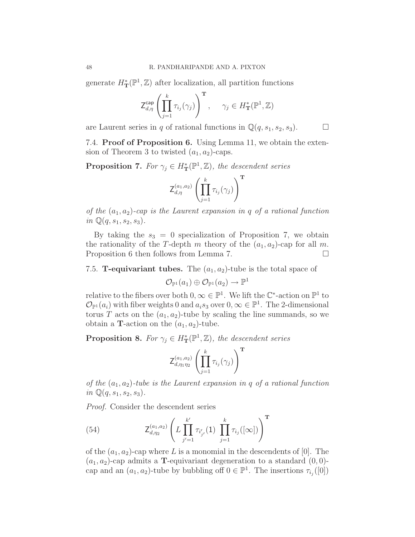generate  $H^*_\mathbf{T}(\mathbb{P}^1, \mathbb{Z})$  after localization, all partition functions

$$
\mathsf{Z}_{d,\eta}^{\mathsf{cap}}\left(\prod_{j=1}^k \tau_{i_j}(\gamma_j)\right)^{\mathbf{T}}, \quad \gamma_j \in H^*_{\mathbf{T}}(\mathbb{P}^1,\mathbb{Z})
$$

are Laurent series in q of rational functions in  $\mathbb{Q}(q,s_1,s_2,s_3)$ .  $\Box$ 

7.4. Proof of Proposition 6. Using Lemma 11, we obtain the extension of Theorem 3 to twisted  $(a_1, a_2)$ -caps.

**Proposition 7.** For  $\gamma_j \in H^*_{\mathbf{T}}(\mathbb{P}^1, \mathbb{Z})$ , the descendent series

$$
\mathsf{Z}^{(a_1,a_2)}_{d,\eta} \left(\prod_{j=1}^k \tau_{i_j}(\gamma_j)\right)^{\mathbf{T}}
$$

of the  $(a_1,a_2)$ -cap is the Laurent expansion in q of a rational function in  $\mathbb{Q}(q,s_1,s_2,s_3)$ .

By taking the  $s_3 = 0$  specialization of Proposition 7, we obtain the rationality of the T-depth m theory of the  $(a_1, a_2)$ -cap for all m. Proposition 6 then follows from Lemma 7.

7.5. **T-equivariant tubes.** The  $(a_1, a_2)$ -tube is the total space of

 $\mathcal{O}_{\mathbb{P}^1}(a_1) \oplus \mathcal{O}_{\mathbb{P}^1}(a_2) \to \mathbb{P}^1$ 

relative to the fibers over both  $0, \infty \in \mathbb{P}^1$ . We lift the  $\mathbb{C}^*$ -action on  $\mathbb{P}^1$  to  $\mathcal{O}_{\mathbb{P}^1}(a_i)$  with fiber weights 0 and  $a_i s_3$  over  $0, \infty \in \mathbb{P}^1$ . The 2-dimensional torus T acts on the  $(a_1, a_2)$ -tube by scaling the line summands, so we obtain a **T**-action on the  $(a_1, a_2)$ -tube.

**Proposition 8.** For  $\gamma_j \in H^*_{\mathbf{T}}(\mathbb{P}^1, \mathbb{Z})$ , the descendent series

$$
\mathsf{Z}_{d,\eta_1\eta_2}^{(a_1,a_2)}\left(\prod_{j=1}^k\tau_{i_j}(\gamma_j)\right)^\mathbf{T}
$$

of the  $(a_1,a_2)$ -tube is the Laurent expansion in q of a rational function in  $\mathbb{Q}(q,s_1,s_2,s_3)$ .

Proof. Consider the descendent series

(54) 
$$
Z_{d,\eta_2}^{(a_1,a_2)}\left(L\prod_{j'=1}^{k'}\tau_{i'_{j'}}(1)\prod_{j=1}^{k}\tau_{i_j}([\infty])\right)^{\mathrm{T}}
$$

of the  $(a_1, a_2)$ -cap where L is a monomial in the descendents of [0]. The  $(a_1, a_2)$ -cap admits a **T**-equivariant degeneration to a standard  $(0, 0)$ cap and an  $(a_1, a_2)$ -tube by bubbling off  $0 \in \mathbb{P}^1$ . The insertions  $\tau_{i_j}([0])$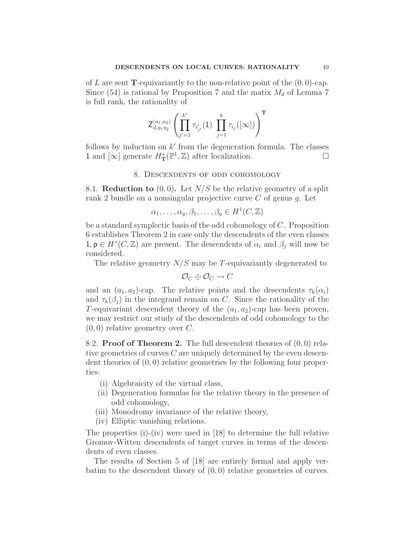of L are sent **T**-equivariantly to the non-relative point of the  $(0, 0)$ -cap. Since (54) is rational by Proposition 7 and the matix  $M_d$  of Lemma 7 is full rank, the rationality of

$$
\mathsf{Z}^{(a_1,a_2)}_{d,\eta_1\eta_2} \left(\prod_{j'=1}^{k'} \tau_{i'_{j'}}(1) \prod_{j=1}^{k} \tau_{i_j}([\infty])\right)^\mathbf{T}
$$

follows by induction on  $k'$  from the degeneration formula. The classes 1 and  $[\infty]$  generate  $H^*_T(\mathbb{P}^1, \mathbb{Z})$  after localization.

#### 8. Descendents of odd cohomology

8.1. **Reduction to**  $(0,0)$ . Let  $N/S$  be the relative geometry of a split rank 2 bundle on a nonsingular projective curve  $C$  of genus  $q$ . Let

$$
\alpha_1, \dots, \alpha_g, \beta_1, \dots, \beta_g \in H^1(C, \mathbb{Z})
$$

be a standard symplectic basis of the odd cohomology of C. Proposition 6 establishes Theorem 2 in case only the descendents of the even classes  $1, \mathsf{p} \in H^*(C, \mathbb{Z})$  are present. The descendents of  $\alpha_i$  and  $\beta_j$  will now be considered.

The relative geometry  $N/S$  may be T-equivariantly degenerated to

$$
\mathcal{O}_C \oplus \mathcal{O}_C \to C
$$

and an  $(a_1, a_2)$ -cap. The relative points and the descendents  $\tau_k(\alpha_i)$ and  $\tau_k(\beta_j)$  in the integrand remain on C. Since the rationality of the T-equivariant descendent theory of the  $(a_1, a_2)$ -cap has been proven, we may restrict our study of the descendents of odd cohomology to the  $(0, 0)$  relative geometry over C.

8.2. **Proof of Theorem 2.** The full descendent theories of  $(0,0)$  relative geometries of curves C are uniquely determined by the even descendent theories of  $(0, 0)$  relative geometries by the following four properties:

- (i) Algebraicity of the virtual class,
- (ii) Degeneration formulas for the relative theory in the presence of odd cohomology,
- (iii) Monodromy invariance of the relative theory,
- (iv) Elliptic vanishing relations.

The properties (i)-(iv) were used in [18] to determine the full relative Gromov-Witten descendents of target curves in terms of the descendents of even classes.

The results of Section 5 of [18] are entirely formal and apply verbatim to the descendent theory of  $(0, 0)$  relative geometries of curves.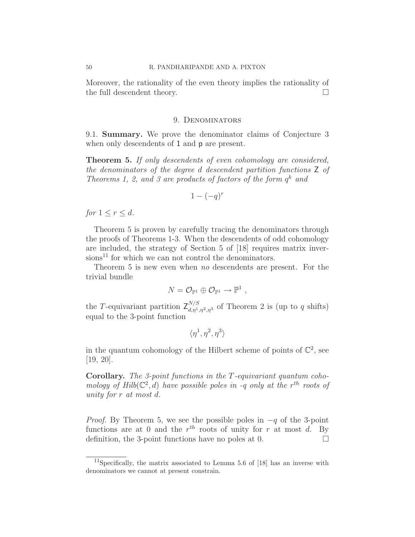Moreover, the rationality of the even theory implies the rationality of the full descendent theory.  $\Box$ 

#### 9. Denominators

9.1. Summary. We prove the denominator claims of Conjecture 3 when only descendents of 1 and  $p$  are present.

Theorem 5. If only descendents of even cohomology are considered, the denominators of the degree d descendent partition functions Z of Theorems 1, 2, and 3 are products of factors of the form  $q^k$  and

$$
1 - (-q)^r
$$

for  $1 \leq r \leq d$ .

Theorem 5 is proven by carefully tracing the denominators through the proofs of Theorems 1-3. When the descendents of odd cohomology are included, the strategy of Section 5 of [18] requires matrix inver $sions<sup>11</sup>$  for which we can not control the denominators.

Theorem 5 is new even when no descendents are present. For the trivial bundle

$$
N = \mathcal{O}_{\mathbb{P}^1} \oplus \mathcal{O}_{\mathbb{P}^1} \to \mathbb{P}^1 ,
$$

the T-equivariant partition  $\mathsf{Z}_{d,\eta^1,\eta^2,\eta^3}^{N/S}$  of Theorem 2 is (up to q shifts) equal to the 3-point function

$$
\langle \eta^1,\eta^2,\eta^3\rangle
$$

in the quantum cohomology of the Hilbert scheme of points of  $\mathbb{C}^2$ , see [19, 20].

Corollary. The 3-point functions in the T-equivariant quantum cohomology of Hilb( $\mathbb{C}^2$ , d) have possible poles in -q only at the r<sup>th</sup> roots of unity for r at most d.

*Proof.* By Theorem 5, we see the possible poles in  $-q$  of the 3-point functions are at 0 and the  $r^{th}$  roots of unity for r at most d. By definition, the 3-point functions have no poles at 0.  $\Box$ 

 $11$ Specifically, the matrix associated to Lemma 5.6 of [18] has an inverse with denominators we cannot at present constrain.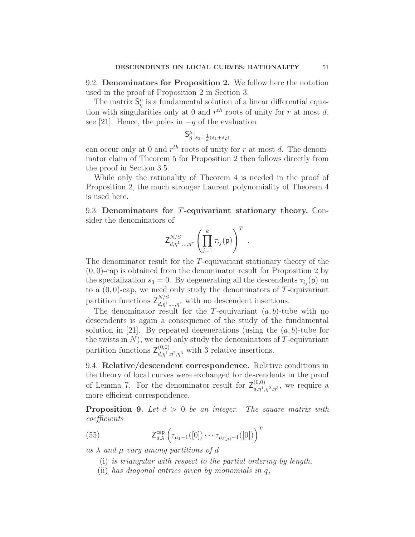9.2. Denominators for Proposition 2. We follow here the notation used in the proof of Proposition 2 in Section 3.

The matrix  $S_{\eta}^{\mu}$  is a fundamental solution of a linear differential equation with singularities only at 0 and  $r^{th}$  roots of unity for r at most d, see [21]. Hence, the poles in  $-q$  of the evaluation

$$
{\sf S}^\mu_\eta|_{s_3=\frac{1}{a}(s_1+s_2)}
$$

can occur only at 0 and  $r^{th}$  roots of unity for r at most d. The denominator claim of Theorem 5 for Proposition 2 then follows directly from the proof in Section 3.5.

While only the rationality of Theorem 4 is needed in the proof of Proposition 2, the much stronger Laurent polynomiality of Theorem 4 is used here.

9.3. Denominators for T-equivariant stationary theory. Consider the denominators of

$$
\mathsf{Z}^{N/S}_{d,\eta^1,\ldots,\eta^r}\left(\prod_{j=1}^k\tau_{i_j}(\mathsf{p})\right)^T\ .
$$

The denominator result for the T-equivariant stationary theory of the  $(0, 0)$ -cap is obtained from the denominator result for Proposition 2 by the specialization  $s_3 = 0$ . By degenerating all the descendents  $\tau_{i_j}(\mathbf{p})$  on to a  $(0,0)$ -cap, we need only study the denominators of T-equivariant partition functions  $Z_{d,\eta^1,\dots,\eta^r}^{N/S}$  with no descendent insertions.

The denominator result for the T-equivariant  $(a, b)$ -tube with no descendents is again a consequence of the study of the fundamental solution in [21]. By repeated degenerations (using the  $(a, b)$ -tube for the twists in  $N$ ), we need only study the denominators of  $T$ -equivariant partition functions  $\mathsf{Z}_{d,\eta^1,\eta^2,\eta^3}^{(0,0)}$  with 3 relative insertions.

9.4. Relative/descendent correspondence. Relative conditions in the theory of local curves were exchanged for descendents in the proof of Lemma 7. For the denominator result for  $\mathsf{Z}_{d,\eta^1,\eta^2,\eta^3}^{(0,0)}$ , we require a more efficient correspondence.

**Proposition 9.** Let  $d > 0$  be an integer. The square matrix with coefficients

(55) 
$$
Z_{d,\lambda}^{\text{cap}}\left(\tau_{\mu_1-1}([0])\cdots\tau_{\mu_{\ell(\mu)}-1}([0])\right)^T
$$

as  $\lambda$  and  $\mu$  vary among partitions of d

- (i) is triangular with respect to the partial ordering by length,
- (ii) has diagonal entries given by monomials in q,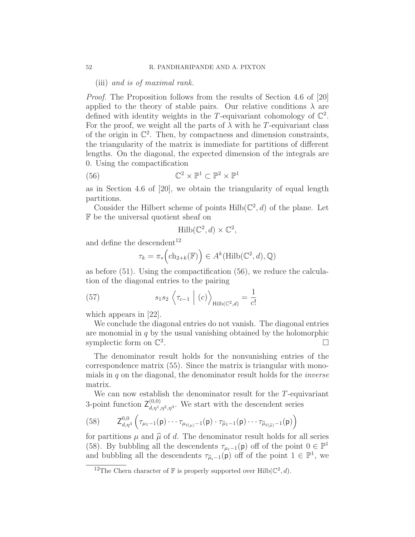(iii) and is of maximal rank.

Proof. The Proposition follows from the results of Section 4.6 of [20] applied to the theory of stable pairs. Our relative conditions  $\lambda$  are defined with identity weights in the T-equivariant cohomology of  $\mathbb{C}^2$ . For the proof, we weight all the parts of  $\lambda$  with he T-equivariant class of the origin in  $\mathbb{C}^2$ . Then, by compactness and dimension constraints, the triangularity of the matrix is immediate for partitions of different lengths. On the diagonal, the expected dimension of the integrals are 0. Using the compactification

(56) 
$$
\mathbb{C}^2 \times \mathbb{P}^1 \subset \mathbb{P}^2 \times \mathbb{P}^1
$$

as in Section 4.6 of [20], we obtain the triangularity of equal length partitions.

Consider the Hilbert scheme of points  $Hilb(\mathbb{C}^2, d)$  of the plane. Let F be the universal quotient sheaf on

$$
\mathrm{Hilb}(\mathbb{C}^2, d) \times \mathbb{C}^2,
$$

and define the descendent<sup>12</sup>

$$
\tau_k = \pi_* \left( \mathrm{ch}_{2+k}(\mathbb{F}) \right) \in A^k(\mathrm{Hilb}(\mathbb{C}^2, d), \mathbb{Q})
$$

as before (51). Using the compactification (56), we reduce the calculation of the diagonal entries to the pairing

(57) 
$$
s_1 s_2 \left\langle \tau_{c-1} \mid (c) \right\rangle_{\text{Hilb}(\mathbb{C}^2,d)} = \frac{1}{c!}
$$

which appears in [22].

We conclude the diagonal entries do not vanish. The diagonal entries are monomial in  $q$  by the usual vanishing obtained by the holomorphic symplectic form on  $\mathbb{C}^2$ . ¤

The denominator result holds for the nonvanishing entries of the correspondence matrix (55). Since the matrix is triangular with monomials in  $q$  on the diagonal, the denominator result holds for the *inverse* matrix.

We can now establish the denominator result for the T-equivariant 3-point function  $\mathsf{Z}_{d,\eta^1,\eta^2,\eta^3}^{(0,0)}$ . We start with the descendent series

(58) 
$$
Z_{d,\eta^3}^{0,0}\left(\tau_{\mu_1-1}(p)\cdots\tau_{\mu_{\ell(\mu)}-1}(p)\cdot\tau_{\widehat{\mu}_1-1}(p)\cdots\tau_{\widehat{\mu}_{\ell(\widehat{\mu})}-1}(p)\right)
$$

for partitions  $\mu$  and  $\hat{\mu}$  of d. The denominator result holds for all series (58). By bubbling all the descendents  $\tau_{\mu_i-1}(\mathsf{p})$  off of the point  $0 \in \mathbb{P}^1$ and bubbling all the descendents  $\tau_{\hat{\mu}_i-1}(\mathsf{p})$  off of the point  $1 \in \mathbb{P}^1$ , we

<sup>&</sup>lt;sup>12</sup>The Chern character of  $\mathbb F$  is properly supported over Hilb( $\mathbb C^2$ , d).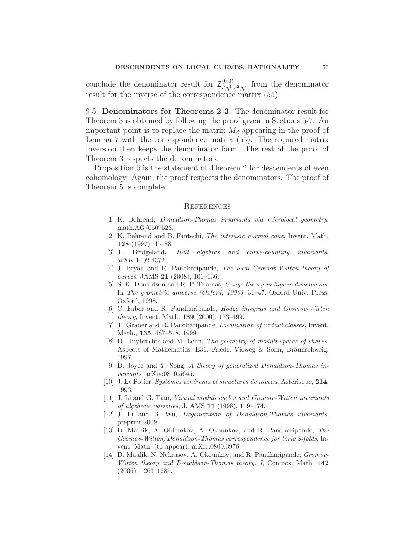conclude the denominator result for  $Z_{d,\eta^1,\eta^2,\eta^3}^{(0,0)}$  from the denominator result for the inverse of the correspondence matrix (55).

9.5. Denominators for Theorems 2-3. The denominator result for Theorem 3 is obtained by following the proof given in Sections 5-7. An important point is to replace the matrix  $M_d$  appearing in the proof of Lemma 7 with the correspondence matrix (55). The required matrix inversion then keeps the denominator form. The rest of the proof of Theorem 3 respects the denominators.

Proposition 6 is the statement of Theorem 2 for descendents of even cohomology. Again, the proof respects the denominators. The proof of Theorem 5 is complete.  $\Box$ 

#### **REFERENCES**

- [1] K. Behrend, Donaldson-Thomas invariants via microlocal geometry, math.AG/0507523.
- [2] K. Behrend and B. Fantechi, The intrinsic normal cone, Invent. Math. 128 (1997), 45–88.
- [3] T. Bridgeland, Hall algebras and curve-counting invariants, arXiv:1002.4372.
- [4] J. Bryan and R. Pandharipande, The local Gromov-Witten theory of curves, JAMS 21 (2008), 101–136.
- [5] S. K. Donaldson and R. P. Thomas, Gauge theory in higher dimensions. In The geometric universe (Oxford, 1996), 31–47. Oxford Univ. Press, Oxford, 1998.
- [6] C. Faber and R. Pandharipande, Hodge integrals and Gromov-Witten theory, Invent. Math. 139 (2000), 173–199.
- [7] T. Graber and R. Pandharipande, Localization of virtual classes, Invent. Math., 135, 487–518, 1999.
- [8] D. Huybrechts and M. Lehn, *The geometry of moduli spaces of shaves*. Aspects of Mathematics, E31. Friedr. Vieweg & Sohn, Braunschweig, 1997.
- [9] D. Joyce and Y. Song, A theory of generalized Donaldson-Thomas invariants, arXiv:0810.5645.
- [10] J. Le Potier, Systèmes cohérents et structures de niveau, Astérisque, 214, 1993.
- [11] J. Li and G. Tian, Virtual moduli cycles and Gromov-Witten invariants of algebraic varieties, J. AMS 11 (1998), 119–174.
- [12] J. Li and B. Wu, Degeneration of Donaldson-Thomas invariants, preprint 2009.
- [13] D. Maulik, A. Oblomkov, A. Okounkov, and R. Pandharipande, The Gromov-Witten/Donaldson-Thomas correspondence for toric 3-folds, Invent. Math. (to appear). arXiv:0809.3976.
- [14] D. Maulik, N. Nekrasov, A. Okounkov, and R. Pandharipande, *Gromov*-Witten theory and Donaldson-Thomas theory. I, Compos. Math. 142 (2006), 1263–1285.